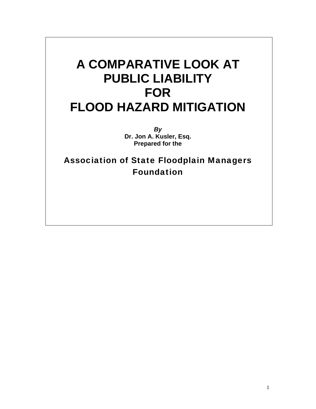# **A COMPARATIVE LOOK AT PUBLIC LIABILITY FOR FLOOD HAZARD MITIGATION**

*By*  **Dr. Jon A. Kusler, Esq. Prepared for the** 

Association of State Floodplain Managers Foundation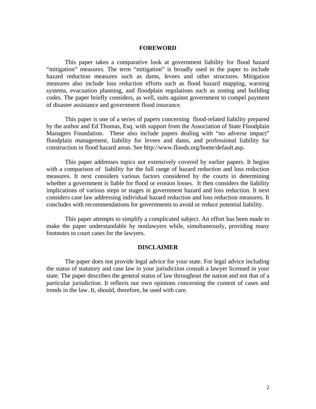## **FOREWORD**

This paper takes a comparative look at government liability for flood hazard "mitigation" measures. The term "mitigation" is broadly used in the paper to include hazard reduction measures such as dams, levees and other structures. Mitigation measures also include loss reduction efforts such as flood hazard mapping, warning systems, evacuation planning, and floodplain regulations such as zoning and building codes. The paper briefly considers, as well, suits against government to compel payment of disaster assistance and government flood insurance.

This paper is one of a series of papers concerning flood-related liability prepared by the author and Ed Thomas, Esq. with support from the Association of State Floodplain Managers Foundation. These also include papers dealing with "no adverse impact" floodplain management, liability for levees and dams, and professional liability for construction in flood hazard areas. See http://www.floods.org/home/default.asp.

This paper addresses topics not extensively covered by earlier papers. It begins with a comparison of liability for the full range of hazard reduction and loss reduction measures. It next considers various factors considered by the courts in determining whether a government is liable for flood or erosion losses. It then considers the liability implications of various steps or stages in government hazard and loss reduction. It next considers case law addressing individual hazard reduction and loss reduction measures. It concludes with recommendations for governments to avoid or reduce potential liability.

This paper attempts to simplify a complicated subject. An effort has been made to make the paper understandable by nonlawyers while, simultaneously, providing many footnotes to court cases for the lawyers.

## **DISCLAIMER**

The paper does not provide legal advice for your state. For legal advice including the status of statutory and case law in your jurisdiction consult a lawyer licensed in your state. The paper describes the general status of law throughout the nation and not that of a particular jurisdiction. It reflects our own opinions concerning the content of cases and trends in the law. It, should, therefore, be used with care.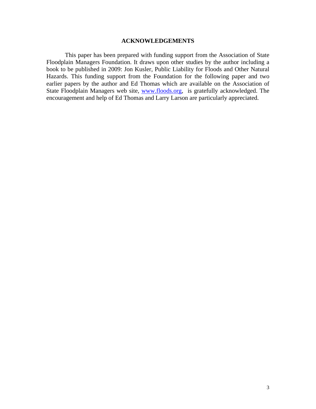## **ACKNOWLEDGEMENTS**

This paper has been prepared with funding support from the Association of State Floodplain Managers Foundation. It draws upon other studies by the author including a book to be published in 2009: Jon Kusler, Public Liability for Floods and Other Natural Hazards. This funding support from the Foundation for the following paper and two earlier papers by the author and Ed Thomas which are available on the Association of State Floodplain Managers web site, www.floods.org, is gratefully acknowledged. The encouragement and help of Ed Thomas and Larry Larson are particularly appreciated.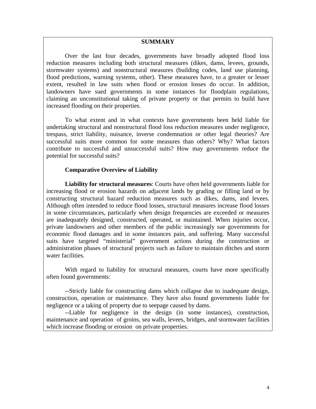## **SUMMARY**

Over the last four decades, governments have broadly adopted flood loss reduction measures including both structural measures (dikes, dams, levees, grounds, stormwater systems) and nonstructural measures (building codes, land use planning, flood predictions, warning systems, other). These measures have, to a greater or lesser extent, resulted in law suits when flood or erosion losses do occur. In addition, landowners have sued governments in some instances for floodplain regulations, claiming an unconstitutional taking of private property or that permits to build have increased flooding on their properties.

To what extent and in what contexts have governments been held liable for undertaking structural and nonstructural flood loss reduction measures under negligence, trespass, strict liability, nuisance, inverse condemnation or other legal theories? Are successful suits more common for some measures than others? Why? What factors contribute to successful and unsuccessful suits? How may governments reduce the potential for successful suits?

# **Comparative Overview of Liability**

**Liability for structural measures**: Courts have often held governments liable for increasing flood or erosion hazards on adjacent lands by grading or filling land or by constructing structural hazard reduction measures such as dikes, dams, and levees. Although often intended to reduce flood losses, structural measures increase flood losses in some circumstances, particularly when design frequencies are exceeded or measures are inadequately designed, constructed, operated, or maintained. When injuries occur, private landowners and other members of the public increasingly sue governments for economic flood damages and in some instances pain, and suffering. Many successful suits have targeted "ministerial" government actions during the construction or administration phases of structural projects such as failure to maintain ditches and storm water facilities.

With regard to liability for structural measures, courts have more specifically often found governments:

--Strictly liable for constructing dams which collapse due to inadequate design, construction, operation or maintenance. They have also found governments liable for negligence or a taking of property due to seepage caused by dams.

--Liable for negligence in the design (in some instances), construction, maintenance and operation of groins, sea walls, levees, bridges, and stormwater facilities which increase flooding or erosion on private properties.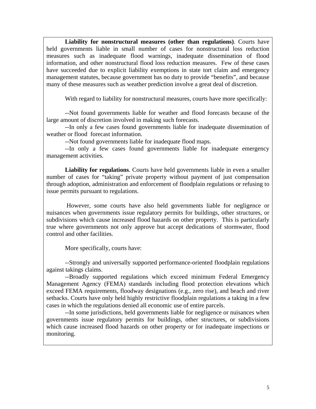**Liability for nonstructural measures (other than regulations)**. Courts have held governments liable in small number of cases for nonstructural loss reduction measures such as inadequate flood warnings, inadequate dissemination of flood information, and other nonstructural flood loss reduction measures. Few of these cases have succeeded due to explicit liability exemptions in state tort claim and emergency management statutes, because government has no duty to provide "benefits", and because many of these measures such as weather prediction involve a great deal of discretion.

With regard to liability for nonstructural measures, courts have more specifically:

--Not found governments liable for weather and flood forecasts because of the large amount of discretion involved in making such forecasts.

--In only a few cases found governments liable for inadequate dissemination of weather or flood forecast information.

--Not found governments liable for inadequate flood maps.

--In only a few cases found governments liable for inadequate emergency management activities.

**Liability for regulations**. Courts have held governments liable in even a smaller number of cases for "taking" private property without payment of just compensation through adoption, administration and enforcement of floodplain regulations or refusing to issue permits pursuant to regulations.

 However, some courts have also held governments liable for negligence or nuisances when governments issue regulatory permits for buildings, other structures, or subdivisions which cause increased flood hazards on other property. This is particularly true where governments not only approve but accept dedications of stormwater, flood control and other facilities.

More specifically, courts have:

--Strongly and universally supported performance-oriented floodplain regulations against takings claims.

--Broadly supported regulations which exceed minimum Federal Emergency Management Agency (FEMA) standards including flood protection elevations which exceed FEMA requirements, floodway designations (e.g., zero rise), and beach and river setbacks. Courts have only held highly restrictive floodplain regulations a taking in a few cases in which the regulations denied all economic use of entire parcels.

--In some jurisdictions, held governments liable for negligence or nuisances when governments issue regulatory permits for buildings, other structures, or subdivisions which cause increased flood hazards on other property or for inadequate inspections or monitoring.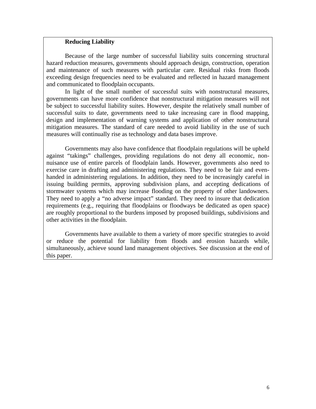# **Reducing Liability**

Because of the large number of successful liability suits concerning structural hazard reduction measures, governments should approach design, construction, operation and maintenance of such measures with particular care. Residual risks from floods exceeding design frequencies need to be evaluated and reflected in hazard management and communicated to floodplain occupants.

In light of the small number of successful suits with nonstructural measures, governments can have more confidence that nonstructural mitigation measures will not be subject to successful liability suites. However, despite the relatively small number of successful suits to date, governments need to take increasing care in flood mapping, design and implementation of warning systems and application of other nonstructural mitigation measures. The standard of care needed to avoid liability in the use of such measures will continually rise as technology and data bases improve.

Governments may also have confidence that floodplain regulations will be upheld against "takings" challenges, providing regulations do not deny all economic, nonnuisance use of entire parcels of floodplain lands. However, governments also need to exercise care in drafting and administering regulations. They need to be fair and evenhanded in administering regulations. In addition, they need to be increasingly careful in issuing building permits, approving subdivision plans, and accepting dedications of stormwater systems which may increase flooding on the property of other landowners. They need to apply a "no adverse impact" standard. They need to insure that dedication requirements (e.g., requiring that floodplains or floodways be dedicated as open space) are roughly proportional to the burdens imposed by proposed buildings, subdivisions and other activities in the floodplain.

Governments have available to them a variety of more specific strategies to avoid or reduce the potential for liability from floods and erosion hazards while, simultaneously, achieve sound land management objectives. See discussion at the end of this paper.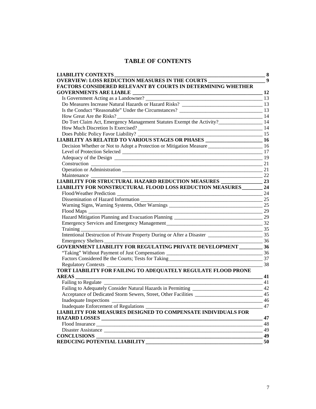# **TABLE OF CONTENTS**

| <b>LIABILITY CONTEXTS</b>                                                                               | $\bf{8}$         |
|---------------------------------------------------------------------------------------------------------|------------------|
| <b>OVERVIEW: LOSS REDUCTION MEASURES IN THE COURTS</b>                                                  | $\boldsymbol{9}$ |
| <b>FACTORS CONSIDERED RELEVANT BY COURTS IN DETERMINING WHETHER</b>                                     |                  |
|                                                                                                         | 12               |
|                                                                                                         | 13               |
|                                                                                                         |                  |
| Is the Conduct "Reasonable" Under the Circumstances? 13                                                 |                  |
| How Great Are the Risks?<br>$\sim$ 14                                                                   |                  |
|                                                                                                         |                  |
| How Much Discretion Is Exercised?                                                                       |                  |
| Does Public Policy Favor Liability? ______<br>$\frac{15}{2}$                                            |                  |
| LIABILITY AS RELATED TO VARIOUS STAGES OR PHASES ________________________________ 16                    |                  |
| Decision Whether or Not to Adopt a Protection or Mitigation Measure ________________________________ 16 |                  |
|                                                                                                         |                  |
|                                                                                                         |                  |
|                                                                                                         |                  |
|                                                                                                         | 21               |
| $\overline{22}$<br>Maintenance                                                                          |                  |
|                                                                                                         |                  |
| LIABILITY FOR NONSTRUCTURAL FLOOD LOSS REDUCTION MEASURES______                                         | 24               |
| Flood/Weather Prediction 24                                                                             |                  |
| Dissemination of Hazard Information 25                                                                  |                  |
| Warning Signs, Warning Systems, Other Warnings _________________________________                        | 25               |
|                                                                                                         | 29               |
| Hazard Mitigation Planning and Evacuation Planning _____________________________                        | 29               |
|                                                                                                         |                  |
| $\frac{1}{35}$<br>Training                                                                              |                  |
|                                                                                                         |                  |
| $\frac{1}{2}$ 36<br>Emergency Shelters                                                                  |                  |
| GOVERNMENT LIABILITY FOR REGULATING PRIVATE DEVELOPMENT __________ 36                                   |                  |
| "Taking" Without Payment of Just Compensation __________________________________                        | 36               |
| Factors Considered Be the Courts; Tests for Taking ______________________________                       | 37               |
| 38                                                                                                      |                  |
| TORT LIABILITY FOR FAILING TO ADEQUATELY REGULATE FLOOD PRONE                                           |                  |
| <b>AREAS</b>                                                                                            | 41               |
| <b>Failing to Regulate</b>                                                                              | 41               |
| Failing to Adequately Consider Natural Hazards in Permitting ________________________________ 42        |                  |
|                                                                                                         | 45               |
| <b>Inadequate Inspections</b>                                                                           | 46               |
| Inadequate Enforcement of Regulations _                                                                 | 47               |
| LIABILITY FOR MEASURES DESIGNED TO COMPENSATE INDIVIDUALS FOR                                           |                  |
|                                                                                                         | 47               |
|                                                                                                         | 48               |
|                                                                                                         | 49               |
| <b>CONCLUSIONS</b>                                                                                      | 49               |
| REDUCING POTENTIAL LIABILITY                                                                            | 50               |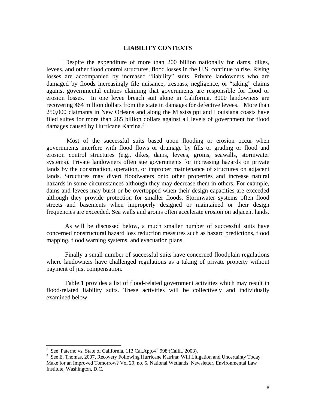## **LIABILITY CONTEXTS**

Despite the expenditure of more than 200 billion nationally for dams, dikes, levees, and other flood control structures, flood losses in the U.S. continue to rise. Rising losses are accompanied by increased "liability" suits. Private landowners who are damaged by floods increasingly file nuisance, trespass, negligence, or "taking" claims against governmental entities claiming that governments are responsible for flood or erosion losses. In one levee breach suit alone in California, 3000 landowners are recovering 464 million dollars from the state in damages for defective levees.  $\frac{1}{1}$  More than 250,000 claimants in New Orleans and along the Mississippi and Louisiana coasts have filed suites for more than 285 billion dollars against all levels of government for flood damages caused by Hurricane Katrina.<sup>2</sup>

 Most of the successful suits based upon flooding or erosion occur when governments interfere with flood flows or drainage by fills or grading or flood and erosion control structures (e.g., dikes, dams, levees, groins, seawalls, stormwater systems). Private landowners often sue governments for increasing hazards on private lands by the construction, operation, or improper maintenance of structures on adjacent lands. Structures may divert floodwaters onto other properties and increase natural hazards in some circumstances although they may decrease them in others. For example, dams and levees may burst or be overtopped when their design capacities are exceeded although they provide protection for smaller floods. Stormwater systems often flood streets and basements when improperly designed or maintained or their design frequencies are exceeded. Sea walls and groins often accelerate erosion on adjacent lands.

As will be discussed below, a much smaller number of successful suits have concerned nonstructural hazard loss reduction measures such as hazard predictions, flood mapping, flood warning systems, and evacuation plans.

Finally a small number of successful suits have concerned floodplain regulations where landowners have challenged regulations as a taking of private property without payment of just compensation.

Table 1 provides a list of flood-related government activities which may result in flood-related liability suits. These activities will be collectively and individually examined below.

<sup>1</sup> See Paterno vs. State of California, 113 Cal.App.4<sup>th</sup> 998 (Calif., 2003).

<sup>&</sup>lt;sup>2</sup> See E. Thomas, 2007, Recovery Following Hurricane Katrina: Will Litigation and Uncertainty Today Make for an Improved Tomorrow? Vol 29, no. 5, National Wetlands Newsletter, Environmental Law Institute, Washington, D.C.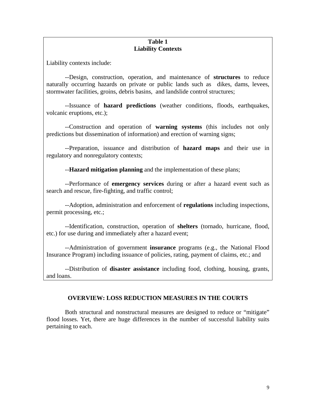# **Table 1 Liability Contexts**

Liability contexts include:

--Design, construction, operation, and maintenance of **structures** to reduce naturally occurring hazards on private or public lands such as dikes, dams, levees, stormwater facilities, groins, debris basins, and landslide control structures;

 --Issuance of **hazard predictions** (weather conditions, floods, earthquakes, volcanic eruptions, etc.);

--Construction and operation of **warning systems** (this includes not only predictions but dissemination of information) and erection of warning signs;

 --Preparation, issuance and distribution of **hazard maps** and their use in regulatory and nonregulatory contexts;

--**Hazard mitigation planning** and the implementation of these plans;

 --Performance of **emergency services** during or after a hazard event such as search and rescue, fire-fighting, and traffic control;

--Adoption, administration and enforcement of **regulations** including inspections, permit processing, etc.;

--Identification, construction, operation of **shelters** (tornado, hurricane, flood, etc.) for use during and immediately after a hazard event;

 --Administration of government **insurance** programs (e.g., the National Flood Insurance Program) including issuance of policies, rating, payment of claims, etc.; and

--Distribution of **disaster assistance** including food, clothing, housing, grants, and loans.

# **OVERVIEW: LOSS REDUCTION MEASURES IN THE COURTS**

 Both structural and nonstructural measures are designed to reduce or "mitigate" flood losses. Yet, there are huge differences in the number of successful liability suits pertaining to each.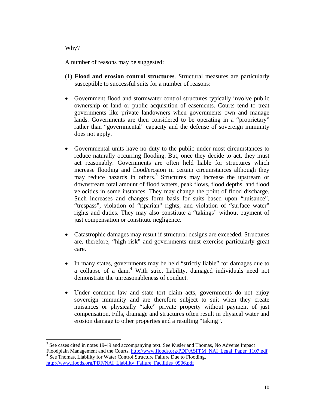# Why?

 $\overline{a}$ 

A number of reasons may be suggested:

- (1) **Flood and erosion control structures**. Structural measures are particularly susceptible to successful suits for a number of reasons:
- Government flood and stormwater control structures typically involve public ownership of land or public acquisition of easements. Courts tend to treat governments like private landowners when governments own and manage lands. Governments are then considered to be operating in a "proprietary" rather than "governmental" capacity and the defense of sovereign immunity does not apply.
- Governmental units have no duty to the public under most circumstances to reduce naturally occurring flooding. But, once they decide to act, they must act reasonably. Governments are often held liable for structures which increase flooding and flood/erosion in certain circumstances although they may reduce hazards in others.<sup>3</sup> Structures may increase the upstream or downstream total amount of flood waters, peak flows, flood depths, and flood velocities in some instances. They may change the point of flood discharge. Such increases and changes form basis for suits based upon "nuisance", "trespass", violation of "riparian" rights, and violation of "surface water" rights and duties. They may also constitute a "takings" without payment of just compensation or constitute negligence.
- Catastrophic damages may result if structural designs are exceeded. Structures are, therefore, "high risk" and governments must exercise particularly great care.
- In many states, governments may be held "strictly liable" for damages due to a collapse of a dam.<sup>4</sup> With strict liability, damaged individuals need not demonstrate the unreasonableness of conduct.
- Under common law and state tort claim acts, governments do not enjoy sovereign immunity and are therefore subject to suit when they create nuisances or physically "take" private property without payment of just compensation. Fills, drainage and structures often result in physical water and erosion damage to other properties and a resulting "taking".

<sup>&</sup>lt;sup>3</sup> See cases cited in notes 19-49 and accompanying text. See Kusler and Thomas, No Adverse Impact Floodplain Management and the Courts, http://www.floods.org/PDF/ASFPM\_NAI\_Legal\_Paper\_1107.pdf <sup>4</sup> See Thomas, Liability for Water Control Structure Failure Due to Flooding, http://www.floods.org/PDF/NAI\_Liability\_Failure\_Facilities\_0906.pdf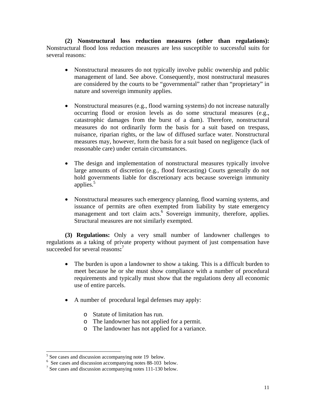**(2) Nonstructural loss reduction measures (other than regulations):**  Nonstructural flood loss reduction measures are less susceptible to successful suits for several reasons:

- Nonstructural measures do not typically involve public ownership and public management of land. See above. Consequently, most nonstructural measures are considered by the courts to be "governmental" rather than "proprietary" in nature and sovereign immunity applies.
- Nonstructural measures (e.g., flood warning systems) do not increase naturally occurring flood or erosion levels as do some structural measures (e.g., catastrophic damages from the burst of a dam). Therefore, nonstructural measures do not ordinarily form the basis for a suit based on trespass, nuisance, riparian rights, or the law of diffused surface water. Nonstructural measures may, however, form the basis for a suit based on negligence (lack of reasonable care) under certain circumstances.
- The design and implementation of nonstructural measures typically involve large amounts of discretion (e.g., flood forecasting) Courts generally do not hold governments liable for discretionary acts because sovereign immunity applies.<sup>5</sup>
- Nonstructural measures such emergency planning, flood warning systems, and issuance of permits are often exempted from liability by state emergency management and tort claim acts.<sup>6</sup> Sovereign immunity, therefore, applies. Structural measures are not similarly exempted.

 **(3) Regulations:** Only a very small number of landowner challenges to regulations as a taking of private property without payment of just compensation have succeeded for several reasons:<sup>7</sup>

- The burden is upon a landowner to show a taking. This is a difficult burden to meet because he or she must show compliance with a number of procedural requirements and typically must show that the regulations deny all economic use of entire parcels.
- A number of procedural legal defenses may apply:
	- o Statute of limitation has run.
	- o The landowner has not applied for a permit.
	- o The landowner has not applied for a variance.

 $5$  See cases and discussion accompanying note 19 below.

<sup>6</sup> See cases and discussion accompanying notes 88-103 below.

<sup>&</sup>lt;sup>7</sup> See cases and discussion accompanying notes 111-130 below.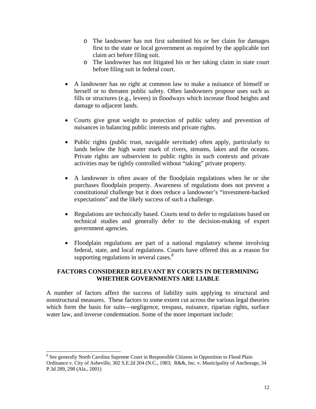- o The landowner has not first submitted his or her claim for damages first to the state or local government as required by the applicable tort claim act before filing suit.
- o The landowner has not litigated his or her taking claim in state court before filing suit in federal court.
- A landowner has no right at common law to make a nuisance of himself or herself or to threaten public safety. Often landowners propose uses such as fills or structures (e.g., levees) in floodways which increase flood heights and damage to adjacent lands.
- Courts give great weight to protection of public safety and prevention of nuisances in balancing public interests and private rights.
- Public rights (public trust, navigable servitude) often apply, particularly to lands below the high water mark of rivers, streams, lakes and the oceans. Private rights are subservient to public rights in such contexts and private activities may be tightly controlled without "taking" private property.
- A landowner is often aware of the floodplain regulations when he or she purchases floodplain property. Awareness of regulations does not prevent a constitutional challenge but it does reduce a landowner's "investment-backed expectations" and the likely success of such a challenge.
- Regulations are technically based. Courts tend to defer to regulations based on technical studies and generally defer to the decision-making of expert government agencies.
- Floodplain regulations are part of a national regulatory scheme involving federal, state, and local regulations. Courts have offered this as a reason for supporting regulations in several cases. $8$

# **FACTORS CONSIDERED RELEVANT BY COURTS IN DETERMINING WHETHER GOVERNMENTS ARE LIABLE**

A number of factors affect the success of liability suits applying to structural and nonstructural measures. These factors to some extent cut across the various legal theories which form the basis for suits—negligence, trespass, nuisance, riparian rights, surface water law, and inverse condemnation. Some of the more important include:

l

<sup>&</sup>lt;sup>8</sup> See generally North Carolina Supreme Court in Responsible Citizens in Opposition to Flood Plain Ordinance v. City of Asheville, 302 S.E.2d 204 (N.C., 1983; R&&, Inc. v. Municipality of Anchorage, 34 P.3d 289, 298 (Ala., 2001)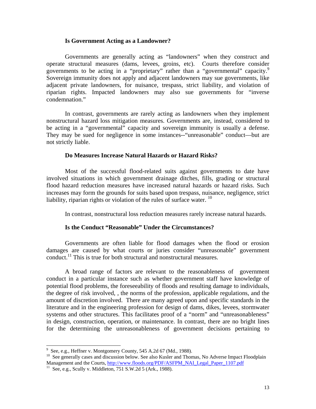## **Is Government Acting as a Landowner?**

 Governments are generally acting as "landowners" when they construct and operate structural measures (dams, levees, groins, etc). Courts therefore consider governments to be acting in a "proprietary" rather than a "governmental" capacity.<sup>9</sup> Sovereign immunity does not apply and adjacent landowners may sue governments, like adjacent private landowners, for nuisance, trespass, strict liability, and violation of riparian rights. Impacted landowners may also sue governments for "inverse condemnation."

 In contrast, governments are rarely acting as landowners when they implement nonstructural hazard loss mitigation measures. Governments are, instead, considered to be acting in a "governmental" capacity and sovereign immunity is usually a defense. They may be sued for negligence in some instances--"unreasonable" conduct—but are not strictly liable.

## **Do Measures Increase Natural Hazards or Hazard Risks?**

 Most of the successful flood-related suits against governments to date have involved situations in which government drainage ditches, fills, grading or structural flood hazard reduction measures have increased natural hazards or hazard risks. Such increases may form the grounds for suits based upon trespass, nuisance, negligence, strict liability, riparian rights or violation of the rules of surface water.  $^{10}$ 

In contrast, nonstructural loss reduction measures rarely increase natural hazards.

## **Is the Conduct "Reasonable" Under the Circumstances?**

 Governments are often liable for flood damages when the flood or erosion damages are caused by what courts or juries consider "unreasonable" government conduct.<sup>11</sup> This is true for both structural and nonstructural measures.

 A broad range of factors are relevant to the reasonableness of government conduct in a particular instance such as whether government staff have knowledge of potential flood problems, the foreseeability of floods and resulting damage to individuals, the degree of risk involved, , the norms of the profession, applicable regulations, and the amount of discretion involved. There are many agreed upon and specific standards in the literature and in the engineering profession for design of dams, dikes, levees, stormwater systems and other structures. This facilitates proof of a "norm" and "unreasonableness" in design, construction, operation, or maintenance. In contrast, there are no bright lines for the determining the unreasonableness of government decisions pertaining to

 9 See, e.g., Heffner v. Montgomery County, 545 A.2d 67 (Md., 1988).

<sup>10</sup> See, e.g., Hernier v. Mongomery Councy, Councy, Council of American Council Council See generally cases and discussion below. See also Kusler and Thomas, No Adverse Impact Floodplain Management and the Courts, http://www.floods.org/PDF/ASFPM\_NAI\_Legal\_Paper\_1107.pdf <sup>11</sup> See, e.g., Scully v. Middleton, 751 S.W.2d 5 (Ark., 1988).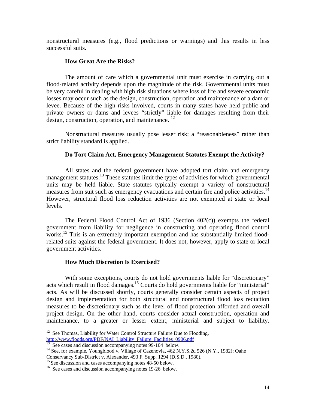nonstructural measures (e.g., flood predictions or warnings) and this results in less successful suits.

## **How Great Are the Risks?**

 The amount of care which a governmental unit must exercise in carrying out a flood-related activity depends upon the magnitude of the risk. Governmental units must be very careful in dealing with high risk situations where loss of life and severe economic losses may occur such as the design, construction, operation and maintenance of a dam or levee. Because of the high risks involved, courts in many states have held public and private owners or dams and levees "strictly" liable for damages resulting from their design, construction, operation, and maintenance.  $^{12}$ 

 Nonstructural measures usually pose lesser risk; a "reasonableness" rather than strict liability standard is applied.

## **Do Tort Claim Act, Emergency Management Statutes Exempt the Activity?**

 All states and the federal government have adopted tort claim and emergency management statutes.<sup>13</sup> These statutes limit the types of activities for which governmental units may be held liable. State statutes typically exempt a variety of nonstructural measures from suit such as emergency evacuations and certain fire and police activities.<sup>14</sup> However, structural flood loss reduction activities are not exempted at state or local levels.

 The Federal Flood Control Act of 1936 (Section 402(c)) exempts the federal government from liability for negligence in constructing and operating flood control works.<sup>15</sup> This is an extremely important exemption and has substantially limited floodrelated suits against the federal government. It does not, however, apply to state or local government activities.

### **How Much Discretion Is Exercised?**

With some exceptions, courts do not hold governments liable for "discretionary" acts which result in flood damages.<sup>16</sup> Courts do hold governments liable for "ministerial" acts. As will be discussed shortly, courts generally consider certain aspects of project design and implementation for both structural and nonstructural flood loss reduction measures to be discretionary such as the level of flood protection afforded and overall project design. On the other hand, courts consider actual construction, operation and maintenance, to a greater or lesser extent, ministerial and subject to liability.

 $12$  See Thomas, Liability for Water Control Structure Failure Due to Flooding, http://www.floods.org/PDF/NAI\_Liability\_Failure\_Facilities\_0906.pdf<br><sup>13</sup> See cases and discussion accompanying notes 99-104 below.

<sup>&</sup>lt;sup>14</sup> See, for example, Youngblood v. Village of Cazenovia, 462 N.Y.S.2d 526 (N.Y., 1982); Oahe

Conservancy Sub-District v. Alexander, 493 F. Supp. 1294 (D.S.D., 1980).<br><sup>15</sup> See discussion and cases accompanying notes 48-50 below.

 $16$  See cases and discussion accompanying notes 19-26 below.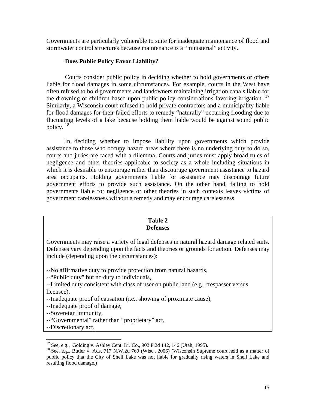Governments are particularly vulnerable to suite for inadequate maintenance of flood and stormwater control structures because maintenance is a "ministerial" activity.

# **Does Public Policy Favor Liability?**

 Courts consider public policy in deciding whether to hold governments or others liable for flood damages in some circumstances. For example, courts in the West have often refused to hold governments and landowners maintaining irrigation canals liable for the drowning of children based upon public policy considerations favoring irrigation.<sup>17</sup> Similarly, a Wisconsin court refused to hold private contractors and a municipality liable for flood damages for their failed efforts to remedy "naturally" occurring flooding due to fluctuating levels of a lake because holding them liable would be against sound public policy.<sup>18</sup>

In deciding whether to impose liability upon governments which provide assistance to those who occupy hazard areas where there is no underlying duty to do so, courts and juries are faced with a dilemma. Courts and juries must apply broad rules of negligence and other theories applicable to society as a whole including situations in which it is desirable to encourage rather than discourage government assistance to hazard area occupants. Holding governments liable for assistance may discourage future government efforts to provide such assistance. On the other hand, failing to hold governments liable for negligence or other theories in such contexts leaves victims of government carelessness without a remedy and may encourage carelessness.

## **Table 2 Defenses**

Governments may raise a variety of legal defenses in natural hazard damage related suits. Defenses vary depending upon the facts and theories or grounds for action. Defenses may include (depending upon the circumstances):

--No affirmative duty to provide protection from natural hazards,

--"Public duty" but no duty to individuals,

- --Limited duty consistent with class of user on public land (e.g., trespasser versus licensee),
- --Inadequate proof of causation (i.e., showing of proximate cause),
- --Inadequate proof of damage,

--Sovereign immunity,

- --"Governmental" rather than "proprietary" act,
- --Discretionary act,

 $17$  See, e.g., Golding v. Ashley Cent. Irr. Co., 902 P.2d 142, 146 (Utah, 1995).

<sup>&</sup>lt;sup>18</sup> See, e.g., Butler v. Ads, 717 N.W.2d 760 (Wisc., 2006) (Wisconsin Supreme court held as a matter of public policy that the City of Shell Lake was not liable for gradually rising waters in Shell Lake and resulting flood damage.)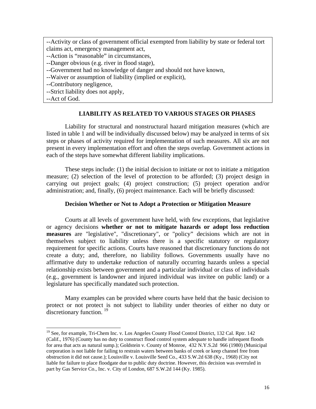--Activity or class of government official exempted from liability by state or federal tort claims act, emergency management act,

--Action is "reasonable" in circumstances,

--Danger obvious (e.g. river in flood stage),

- --Government had no knowledge of danger and should not have known,
- --Waiver or assumption of liability (implied or explicit),

--Contributory negligence,

--Strict liability does not apply,

--Act of God.

 $\overline{a}$ 

# **LIABILITY AS RELATED TO VARIOUS STAGES OR PHASES**

 Liability for structural and nonstructural hazard mitigation measures (which are listed in table 1 and will be individually discussed below) may be analyzed in terms of six steps or phases of activity required for implementation of such measures. All six are not present in every implementation effort and often the steps overlap. Government actions in each of the steps have somewhat different liability implications.

These steps include: (1) the initial decision to initiate or not to initiate a mitigation measure; (2) selection of the level of protection to be afforded; (3) project design in carrying out project goals; (4) project construction; (5) project operation and/or administration; and, finally, (6) project maintenance. Each will be briefly discussed:

# **Decision Whether or Not to Adopt a Protection or Mitigation Measure**

Courts at all levels of government have held, with few exceptions, that legislative or agency decisions **whether or not to mitigate hazards or adopt loss reduction measures** are "legislative", "discretionary", or "policy" decisions which are not in themselves subject to liability unless there is a specific statutory or regulatory requirement for specific actions. Courts have reasoned that discretionary functions do not create a duty; and, therefore, no liability follows. Governments usually have no affirmative duty to undertake reduction of naturally occurring hazards unless a special relationship exists between government and a particular individual or class of individuals (e.g., government is landowner and injured individual was invitee on public land) or a legislature has specifically mandated such protection.

Many examples can be provided where courts have held that the basic decision to protect or not protect is not subject to liability under theories of either no duty or discretionary function.  $19$ 

<sup>&</sup>lt;sup>19</sup> See, for example, Tri-Chem Inc. v. Los Angeles County Flood Control District, 132 Cal. Rptr. 142 (Calif., 1976) (County has no duty to construct flood control system adequate to handle infrequent floods for area that acts as natural sump.); Goldstein v. County of Monroe, 432 N.Y.S.2d 966 (1980) (Municipal corporation is not liable for failing to restrain waters between banks of creek or keep channel free from obstruction it did not cause.); Louisville v. Louisville Seed Co., 433 S.W.2d 638 (Ky., 1968) (City not liable for failure to place floodgate due to public duty doctrine. However, this decision was overruled in part by Gas Service Co., Inc. v. City of London, 687 S.W.2d 144 (Ky. 1985).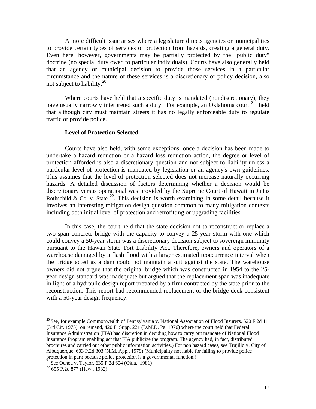A more difficult issue arises where a legislature directs agencies or municipalities to provide certain types of services or protection from hazards, creating a general duty. Even here, however, governments may be partially protected by the "public duty" doctrine (no special duty owed to particular individuals). Courts have also generally held that an agency or municipal decision to provide those services in a particular circumstance and the nature of these services is a discretionary or policy decision, also not subject to liability.20

 Where courts have held that a specific duty is mandated (nondiscretionary), they have usually narrowly interpreted such a duty. For example, an Oklahoma court  $21$  held that although city must maintain streets it has no legally enforceable duty to regulate traffic or provide police.

## **Level of Protection Selected**

Courts have also held, with some exceptions, once a decision has been made to undertake a hazard reduction or a hazard loss reduction action, the degree or level of protection afforded is also a discretionary question and not subject to liability unless a particular level of protection is mandated by legislation or an agency's own guidelines. This assumes that the level of protection selected does not increase naturally occurring hazards. A detailed discussion of factors determining whether a decision would be discretionary versus operational was provided by the Supreme Court of Hawaii in Julius Rothschild & Co. v. State  $^{22}$ . This decision is worth examining in some detail because it involves an interesting mitigation design question common to many mitigation contexts including both initial level of protection and retrofitting or upgrading facilities.

 In this case, the court held that the state decision not to reconstruct or replace a two-span concrete bridge with the capacity to convey a 25-year storm with one which could convey a 50-year storm was a discretionary decision subject to sovereign immunity pursuant to the Hawaii State Tort Liability Act. Therefore, owners and operators of a warehouse damaged by a flash flood with a larger estimated reoccurrence interval when the bridge acted as a dam could not maintain a suit against the state. The warehouse owners did not argue that the original bridge which was constructed in 1954 to the 25 year design standard was inadequate but argued that the replacement span was inadequate in light of a hydraulic design report prepared by a firm contracted by the state prior to the reconstruction. This report had recommended replacement of the bridge deck consistent with a 50-year design frequency.

l

 $20$  See, for example Commonwealth of Pennsylvania v. National Association of Flood Insurers, 520 F.2d 11 (3rd Cir. 1975), on remand, 420 F. Supp. 221 (D.M.D. Pa. 1976) where the court held that Federal Insurance Administration (FIA) had discretion in deciding how to carry out mandate of National Flood Insurance Program enabling act that FIA publicize the program. The agency had, in fact, distributed brochures and carried out other public information activities.) For non hazard cases, see Trujillo v. City of Albuquerque, 603 P.2d 303 (N.M. App., 1979) (Municipality not liable for failing to provide police protection in park because police protection is a governmental function.)<br>
<sup>21</sup> See Ochoa v. Taylor, 635 P.2d 604 (Okla., 1981)<br>
<sup>22</sup> 655 P.2d 877 (Haw., 1982)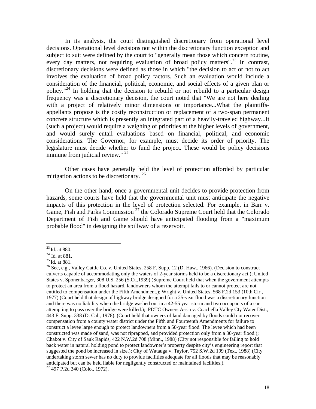In its analysis, the court distinguished discretionary from operational level decisions. Operational level decisions not within the discretionary function exception and subject to suit were defined by the court to "generally mean those which concern routine, every day matters, not requiring evaluation of broad policy matters".<sup>23</sup> In contrast, discretionary decisions were defined as those in which "the decision to act or not to act involves the evaluation of broad policy factors. Such an evaluation would include a consideration of the financial, political, economic, and social effects of a given plan or policy."<sup>24</sup> In holding that the decision to rebuild or not rebuild to a particular design frequency was a discretionary decision, the court noted that "We are not here dealing with a project of relatively minor dimensions or importance...What the plaintiffsappellants propose is the costly reconstruction or replacement of a two-span permanent concrete structure which is presently an integrated part of a heavily-traveled highway...It (such a project) would require a weighing of priorities at the higher levels of government, and would surely entail evaluations based on financial, political, and economic considerations. The Governor, for example, must decide its order of priority. The legislature must decide whether to fund the project. These would be policy decisions immune from judicial review." <sup>25</sup>

 Other cases have generally held the level of protection afforded by particular mitigation actions to be discretionary.  $26$ 

 On the other hand, once a governmental unit decides to provide protection from hazards, some courts have held that the governmental unit must anticipate the negative impacts of this protection in the level of protection selected. For example, in Barr v. Game, Fish and Parks Commission  $27$  the Colorado Supreme Court held that the Colorado Department of Fish and Game should have anticipated flooding from a "maximum probable flood" in designing the spillway of a reservoir.

<sup>&</sup>lt;sup>23</sup> Id. at 880.<br><sup>24</sup> Id. at 881.<br><sup>25</sup> Id. at 881.<br><sup>25</sup> See, e.g., Valley Cattle Co. v. United States, 258 F. Supp. 12 (D. Haw., 1966). (Decision to construct culverts capable of accommodating only the waters of 2-year storms held to be a discretionary act.); United States v. Sponenbarger, 308 U.S. 256 (S.Ct.,1939) (Supreme Court held that when the government attempts to protect an area from a flood hazard, landowners whom the attempt fails to or cannot protect are not entitled to compensation under the Fifth Amendment.); Wright v. United States, 568 F.2d 153 (10th Cir., 1977) (Court held that design of highway bridge designed for a 25-year flood was a discretionary function and there was no liability when the bridge washed out in a 42-55 year storm and two occupants of a car attempting to pass over the bridge were killed.); PDTC Owners Ass'n v. Coachella Valley Cty Water Dist., 443 F. Supp. 338 (D. Cal., 1978). (Court held that owners of land damaged by floods could not recover compensation from a county water district under the Fifth and Fourteenth Amendments for failure to construct a levee large enough to protect landowners from a 50-year flood. The levee which had been constructed was made of sand, was not riprapped, and provided protection only from a 30-year flood.); Chabot v. City of Sauk Rapids, 422 N.W.2d 708 (Minn., 1988) (City not responsible for failing to hold back water in natural holding pond to protect landowner's property despite city's engineering report that suggested the pond be increased in size.); City of Watauga v. Taylor, 752 S.W.2d 199 (Tex., 1988) (City undertaking storm sewer has no duty to provide facilities adequate for all floods that may be reasonably anticipated but can be held liable for negligently constructed or maintained facilities.). 27 497 P.2d 340 (Colo., 1972).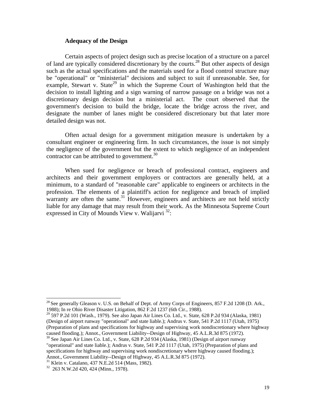## **Adequacy of the Design**

Certain aspects of project design such as precise location of a structure on a parcel of land are typically considered discretionary by the courts.28 But other aspects of design such as the actual specifications and the materials used for a flood control structure may be "operational" or "ministerial" decisions and subject to suit if unreasonable. See, for example, Stewart v. State<sup>29</sup> in which the Supreme Court of Washington held that the decision to install lighting and a sign warning of narrow passage on a bridge was not a discretionary design decision but a ministerial act. The court observed that the government's decision to build the bridge, locate the bridge across the river, and designate the number of lanes might be considered discretionary but that later more detailed design was not.

 Often actual design for a government mitigation measure is undertaken by a consultant engineer or engineering firm. In such circumstances, the issue is not simply the negligence of the government but the extent to which negligence of an independent contractor can be attributed to government.<sup>30</sup>

 When sued for negligence or breach of professional contract, engineers and architects and their government employers or contractors are generally held, at a minimum, to a standard of "reasonable care" applicable to engineers or architects in the profession. The elements of a plaintiff's action for negligence and breach of implied warranty are often the same. $31$  However, engineers and architects are not held strictly liable for any damage that may result from their work. As the Minnesota Supreme Court expressed in City of Mounds View v. Walijarvi  $32$ :

 $^{28}$  See generally Gleason v. U.S. on Behalf of Dept. of Army Corps of Engineers, 857 F.2d 1208 (D. Ark., 1988); In re Ohio River Disaster Litigation, 862 F.2d 1237 (6th Cir., 1988).

 $^{29}$  597 P.2d 101 (Wash., 1979). See also Japan Air Lines Co. Ltd., v. State, 628 P.2d 934 (Alaska, 1981) (Design of airport runway "operational" and state liable.); Andrus v. State, 541 P.2d 1117 (Utah, 1975) (Preparation of plans and specifications for highway and supervising work nondiscretionary where highway caused flooding.); Annot., Government Liability--Design of Highway, 45 A.L.R.3d 875 (1972).

<sup>&</sup>lt;sup>30</sup> See Japan Air Lines Co. Ltd., v. State, 628 P.2d 934 (Alaska, 1981) (Design of airport runway "operational" and state liable.); Andrus v. State, 541 P.2d 1117 (Utah, 1975) (Preparation of plans and specifications for highway and supervising work nondiscretionary where highway caused flooding.); Annot., Government Liability--Design of Highway, 45 A.L.R.3d 875 (1972).<br><sup>31</sup> Klein v. Catalano, 437 N.E.2d 514 (Mass, 1982).

<sup>32 263</sup> N.W.2d 420, 424 (Minn., 1978).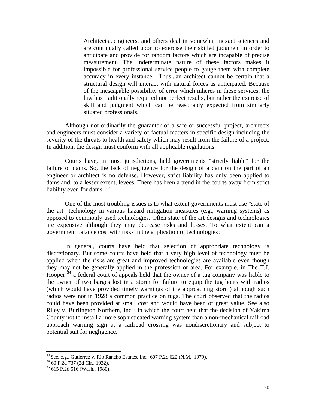Architects...engineers, and others deal in somewhat inexact sciences and are continually called upon to exercise their skilled judgment in order to anticipate and provide for random factors which are incapable of precise measurement. The indeterminate nature of these factors makes it impossible for professional service people to gauge them with complete accuracy in every instance. Thus...an architect cannot be certain that a structural design will interact with natural forces as anticipated. Because of the inescapable possibility of error which inheres in these services, the law has traditionally required not perfect results, but rather the exercise of skill and judgment which can be reasonably expected from similarly situated professionals.

 Although not ordinarily the guarantor of a safe or successful project, architects and engineers must consider a variety of factual matters in specific design including the severity of the threats to health and safety which may result from the failure of a project. In addition, the design must conform with all applicable regulations.

 Courts have, in most jurisdictions, held governments "strictly liable" for the failure of dams. So, the lack of negligence for the design of a dam on the part of an engineer or architect is no defense. However, strict liability has only been applied to dams and, to a lesser extent, levees. There has been a trend in the courts away from strict liability even for dams.  $33$ 

One of the most troubling issues is to what extent governments must use "state of the art" technology in various hazard mitigation measures (e.g., warning systems) as opposed to commonly used technologies. Often state of the art designs and technologies are expensive although they may decrease risks and losses. To what extent can a government balance cost with risks in the application of technologies?

 In general, courts have held that selection of appropriate technology is discretionary. But some courts have held that a very high level of technology must be applied when the risks are great and improved technologies are available even though they may not be generally applied in the profession or area. For example, in The T.J. Hooper <sup>34</sup> a federal court of appeals held that the owner of a tug company was liable to the owner of two barges lost in a storm for failure to equip the tug boats with radios (which would have provided timely warnings of the approaching storm) although such radios were not in 1928 a common practice on tugs. The court observed that the radios could have been provided at small cost and would have been of great value. See also Riley v. Burlington Northern,  $Inc^{35}$  in which the court held that the decision of Yakima County not to install a more sophisticated warning system than a non-mechanical railroad approach warning sign at a railroad crossing was nondiscretionary and subject to potential suit for negligence.

l

<sup>&</sup>lt;sup>33</sup> See, e.g., Gutierrez v. Rio Rancho Estates, Inc., 607 P.2d 622 (N.M., 1979).<br><sup>34</sup> 60 F.2d 737 (2d Cir., 1932).

<sup>35 615</sup> P.2d 516 (Wash., 1980).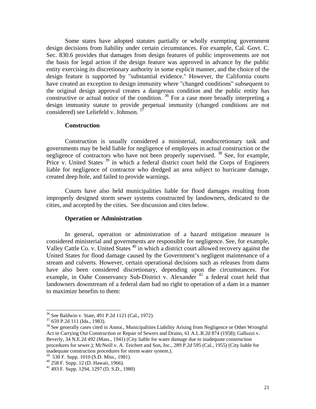Some states have adopted statutes partially or wholly exempting government design decisions from liability under certain circumstances. For example, Cal. Govt. C. Sec. 830.6 provides that damages from design features of public improvements are not the basis for legal action if the design feature was approved in advance by the public entity exercising its discretionary authority in some explicit manner, and the choice of the design feature is supported by "substantial evidence." However, the California courts have created an exception to design immunity where "changed conditions" subsequent to the original design approval creates a dangerous condition and the public entity has constructive or actual notice of the condition.  $36$  For a case more broadly interpreting a design immunity statute to provide perpetual immunity (changed conditions are not considered) see Leliefeld v. Johnson.<sup>3</sup>

#### **Construction**

Construction is usually considered a ministerial, nondiscretionary task and governments may be held liable for negligence of employees in actual construction or the negligence of contractors who have not been properly supervised.  $38$  See, for example, Price v. United States <sup>39</sup> in which a federal district court held the Corps of Engineers liable for negligence of contractor who dredged an area subject to hurricane damage, created deep hole, and failed to provide warnings.

Courts have also held municipalities liable for flood damages resulting from improperly designed storm sewer systems constructed by landowners, dedicated to the cities, and accepted by the cities. See discussion and cites below.

## **Operation or Administration**

In general, operation or administration of a hazard mitigation measure is considered ministerial and governments are responsible for negligence. See, for example, Valley Cattle Co. v. United States <sup>40</sup> in which a district court allowed recovery against the United States for flood damage caused by the Government's negligent maintenance of a stream and culverts. However, certain operational decisions such as releases from dams have also been considered discretionary, depending upon the circumstances. For example, in Oahe Conservancy Sub-District v. Alexander <sup>41</sup> a federal court held that landowners downstream of a federal dam had no right to operation of a dam in a manner to maximize benefits to them:

 $36$  See Baldwin v. State, 491 P.2d 1121 (Cal., 1972).<br> $37$  659 P.2d 111 (Ida., 1983).

 $38$  See generally cases cited in Annot., Municipalities Liability Arising from Negligence or Other Wrongful Act in Carrying Out Construction or Repair of Sewers and Drains, 61 A.L.R.2d 874 (1958); Galluzzi v. Beverly, 34 N.E.2d 492 (Mass., 1941) (City liable for water damage due to inadequate construction procedures for sewer.); McNeill v. A. Teichert and Son, Inc., 289 P.2d 595 (Cal., 1955) (City liable for inadequate construction procedures for storm water system.).

 $39\,$  530 F. Supp. 1010 (S.D. Miss., 1981).

<sup>40 258</sup> F. Supp. 12 (D. Hawaii, 1966).

 $41$  493 F. Supp. 1294, 1297 (D. S.D., 1980)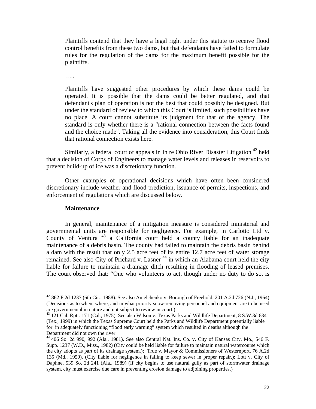Plaintiffs contend that they have a legal right under this statute to receive flood control benefits from these two dams, but that defendants have failed to formulate rules for the regulation of the dams for the maximum benefit possible for the plaintiffs.

…..

Plaintiffs have suggested other procedures by which these dams could be operated. It is possible that the dams could be better regulated, and that defendant's plan of operation is not the best that could possibly be designed. But under the standard of review to which this Court is limited, such possibilities have no place. A court cannot substitute its judgment for that of the agency. The standard is only whether there is a "rational connection between the facts found and the choice made". Taking all the evidence into consideration, this Court finds that rational connection exists here.

Similarly, a federal court of appeals in In re Ohio River Disaster Litigation  $42$  held that a decision of Corps of Engineers to manage water levels and releases in reservoirs to prevent build-up of ice was a discretionary function.

Other examples of operational decisions which have often been considered discretionary include weather and flood prediction, issuance of permits, inspections, and enforcement of regulations which are discussed below.

## **Maintenance**

 $\overline{a}$ 

In general, maintenance of a mitigation measure is considered ministerial and governmental units are responsible for negligence. For example, in Carlotto Ltd v. County of Ventura  $43$  a California court held a county liable for an inadequate maintenance of a debris basin. The county had failed to maintain the debris basin behind a dam with the result that only 2.5 acre feet of its entire 12.7 acre feet of water storage remained. See also City of Prichard v. Lasner<sup>44</sup> in which an Alabama court held the city liable for failure to maintain a drainage ditch resulting in flooding of leased premises. The court observed that: "One who volunteers to act, though under no duty to do so, is

<sup>42</sup> 862 F.2d 1237 (6th Cir., 1988). See also Amelchenko v. Borough of Freehold, 201 A.2d 726 (N.J., 1964) (Decisions as to when, where, and in what priority snow-removing personnel and equipment are to be used are governmental in nature and not subject to review in court.)

<sup>&</sup>lt;sup>43</sup> 121 Cal. Rptr. 171 (Cal., 1975). See also Wilson v. Texas Parks and Wildlife Department, 8 S.W.3d 634 (Tex., 1999) in which the Texas Supreme Court held the Parks and Wildlife Department potentially liable for in adequately functioning "flood early warning" system which resulted in deaths although the Department did not own the river.

<sup>44 406</sup> So. 2d 990, 992 (Ala., 1981). See also Central Nat. Ins. Co. v. City of Kansas City, Mo., 546 F. Supp. 1237 (W.D., Miss., 1982) (City could be held liable for failure to maintain natural watercourse which the city adopts as part of its drainage system.); True v. Mayor & Commissioners of Westernport, 76 A.2d 135 (Md., 1950). (City liable for negligence in failing to keep sewer in proper repair.); Lott v. City of Daphne, 539 So. 2d 241 (Ala., 1989) (If city begins to use natural gully as part of stormwater drainage system, city must exercise due care in preventing erosion damage to adjoining properties.)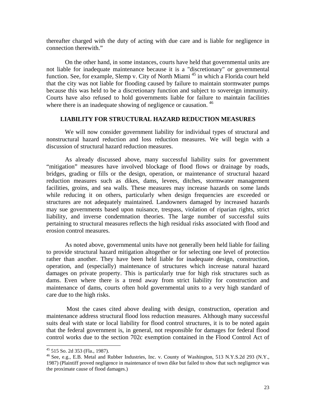thereafter charged with the duty of acting with due care and is liable for negligence in connection therewith."

On the other hand, in some instances, courts have held that governmental units are not liable for inadequate maintenance because it is a "discretionary" or governmental function. See, for example, Slemp v. City of North Miami<sup>45</sup> in which a Florida court held that the city was not liable for flooding caused by failure to maintain stormwater pumps because this was held to be a discretionary function and subject to sovereign immunity. Courts have also refused to hold governments liable for failure to maintain facilities where there is an inadequate showing of negligence or causation.<sup>46</sup>

# **LIABILITY FOR STRUCTURAL HAZARD REDUCTION MEASURES**

We will now consider government liability for individual types of structural and nonstructural hazard reduction and loss reduction measures. We will begin with a discussion of structural hazard reduction measures.

 As already discussed above, many successful liability suits for government "mitigation" measures have involved blockage of flood flows or drainage by roads, bridges, grading or fills or the design, operation, or maintenance of structural hazard reduction measures such as dikes, dams, levees, ditches, stormwater management facilities, groins, and sea walls. These measures may increase hazards on some lands while reducing it on others, particularly when design frequencies are exceeded or structures are not adequately maintained. Landowners damaged by increased hazards may sue governments based upon nuisance, trespass, violation of riparian rights, strict liability, and inverse condemnation theories. The large number of successful suits pertaining to structural measures reflects the high residual risks associated with flood and erosion control measures.

 As noted above, governmental units have not generally been held liable for failing to provide structural hazard mitigation altogether or for selecting one level of protection rather than another. They have been held liable for inadequate design, construction, operation, and (especially) maintenance of structures which increase natural hazard damages on private property. This is particularly true for high risk structures such as dams. Even where there is a trend away from strict liability for construction and maintenance of dams, courts often hold governmental units to a very high standard of care due to the high risks.

 Most the cases cited above dealing with design, construction, operation and maintenance address structural flood loss reduction measures. Although many successful suits deal with state or local liability for flood control structures, it is to be noted again that the federal government is, in general, not responsible for damages for federal flood control works due to the section 702c exemption contained in the Flood Control Act of

<sup>45 515</sup> So. 2d 353 (Fla., 1987).

<sup>46</sup> See, e.g., E.B. Metal and Rubber Industries, Inc. v. County of Washington, 513 N.Y.S.2d 293 (N.Y., 1987) (Plaintiff proved negligence in maintenance of town dike but failed to show that such negligence was the proximate cause of flood damages.)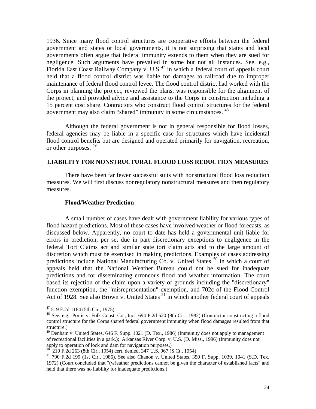1936. Since many flood control structures are cooperative efforts between the federal government and states or local governments, it is not surprising that states and local governments often argue that federal immunity extends to them when they are sued for negligence. Such arguments have prevailed in some but not all instances. See, e.g., Florida East Coast Railway Company v. U.S<sup>47</sup> in which a federal court of appeals court held that a flood control district was liable for damages to railroad due to improper maintenance of federal flood control levee. The flood control district had worked with the Corps in planning the project, reviewed the plans, was responsible for the alignment of the project, and provided advice and assistance to the Corps in construction including a 15 percent cost share. Contractors who construct flood control structures for the federal government may also claim "shared" immunity in some circumstances. <sup>48</sup>

Although the federal government is not in general responsible for flood losses, federal agencies may be liable in a specific case for structures which have incidental flood control benefits but are designed and operated primarily for navigation, recreation, or other purposes. 49

# **LIABILITY FOR NONSTRUCTURAL FLOOD LOSS REDUCTION MEASURES**

 There have been far fewer successful suits with nonstructural flood loss reduction measures. We will first discuss nonregulatory nonstructural measures and then regulatory measures.

## **Flood/Weather Prediction**

 A small number of cases have dealt with government liability for various types of flood hazard predictions. Most of these cases have involved weather or flood forecasts, as discussed below. Apparently, no court to date has held a governmental unit liable for errors in prediction, per se, due in part discretionary exceptions to negligence in the federal Tort Claims act and similar state tort claim acts and to the large amount of discretion which must be exercised in making predictions. Examples of cases addressing predictions include National Manufacturing Co. v. United States  $50$  in which a court of appeals held that the National Weather Bureau could not be sued for inadequate predictions and for disseminating erroneous flood and weather information. The court based its rejection of the claim upon a variety of grounds including the "discretionary" function exemption, the "misrepresentation" exemption, and 702c of the Flood Control Act of 1928. See also Brown v. United States  $51$  in which another federal court of appeals

<sup>47 519</sup> F.2d 1184 (5th Cir., 1975)

<sup>48</sup> See, e.g., Portis v. Folk Const. Co., Inc., 694 F.2d 520 (8th Cir., 1982) (Contractor constructing a flood control structure for the Corps shared federal government immunity when flood damages resulted from that structure.)

 $^{49}$  Denham v. United States, 646 F. Supp. 1021 (D. Tex., 1986) (Immunity does not apply to management of recreational facilities in a park.); Arkansas River Corp. v. U.S. (D. Miss., 1996) (Immunity does not apply to operation of lock and dam for navigation purposes.)

<sup>50 210</sup> F.2d 263 (8th Cir., 1954) cert. denied, 347 U.S. 967 (S.Ct., 1954)

<sup>51</sup> 790 F.2d 199 (1st Cir., 1986). See also Chanon v. United States, 350 F. Supp. 1039, 1041 (S.D. Tex. 1972) (Court concluded that "(w)eather predictions cannot be given the character of established facts" and held that there was no liability for inadequate predictions.)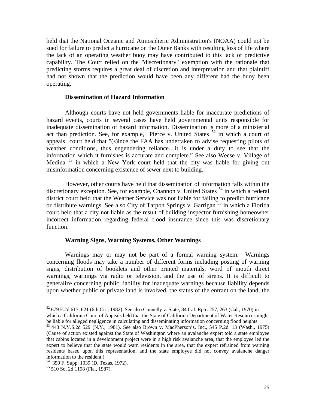held that the National Oceanic and Atmospheric Administration's (NOAA) could not be sued for failure to predict a hurricane on the Outer Banks with resulting loss of life where the lack of an operating weather buoy may have contributed to this lack of predictive capability. The Court relied on the "discretionary" exemption with the rationale that predicting storms requires a great deal of discretion and interpretation and that plaintiff had not shown that the prediction would have been any different had the buoy been operating.

## **Dissemination of Hazard Information**

 Although courts have not held governments liable for inaccurate predictions of hazard events, courts in several cases have held governmental units responsible for inadequate dissemination of hazard information. Dissemination is more of a ministerial act than prediction. See, for example, Pierce v. United States <sup>52</sup> in which a court of appeals court held that "(s)ince the FAA has undertaken to advise requesting pilots of weather conditions, thus engendering reliance…it is under a duty to see that the information which it furnishes is accurate and complete." See also Weese v. Village of Medina 53 in which a New York court held that the city was liable for giving out misinformation concerning existence of sewer next to building.

 However, other courts have held that dissemination of information falls within the discretionary exception. See, for example, Channon v. United States <sup>54</sup> in which a federal district court held that the Weather Service was not liable for failing to predict hurricane or distribute warnings. See also City of Tarpon Springs v. Garrigan <sup>55</sup> in which a Florida court held that a city not liable as the result of building inspector furnishing homeowner incorrect information regarding federal flood insurance since this was discretionary function.

## **Warning Signs, Warning Systems, Other Warnings**

 Warnings may or may not be part of a formal warning system. Warnings concerning floods may take a number of different forms including posting of warning signs, distribution of booklets and other printed materials, word of mouth direct warnings, warnings via radio or television, and the use of sirens. It is difficult to generalize concerning public liability for inadequate warnings because liability depends upon whether public or private land is involved, the status of the entrant on the land, the

<sup>52 679</sup> F.2d 617, 621 (6th Cir., 1982). See also Connelly v. State, 84 Cal. Rptr. 257, 263 (Cal., 1970) in which a California Court of Appeals held that the State of California Department of Water Resources might be liable for alleged negligence in calculating and disseminating information concerning flood heights.

<sup>53 443</sup> N.Y.S.2d 529 (N.Y., 1981). See also Brown v. MacPherson's, Inc., 545 P.2d. 13 (Wash., 1975) (Cause of action existed against the State of Washington where an avalanche expert told a state employee that cabins located in a development project were in a high risk avalanche area, that the employee led the expert to believe that the state would warn residents in the area, that the expert refrained from warning residents based upon this representation, and the state employee did not convey avalanche danger information to the resident.)

<sup>54 350</sup> F. Supp. 1039 (D. Texas, 1972).

<sup>55 510</sup> So. 2d 1198 (Fla., 1987).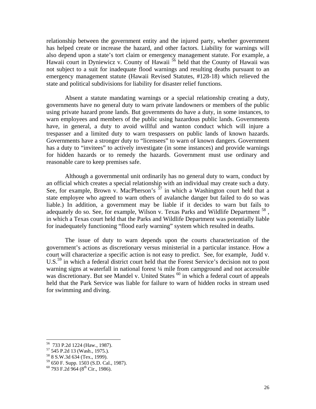relationship between the government entity and the injured party, whether government has helped create or increase the hazard, and other factors. Liability for warnings will also depend upon a state's tort claim or emergency management statute. For example, a Hawaii court in Dyniewicz v. County of Hawaii <sup>56</sup> held that the County of Hawaii was not subject to a suit for inadequate flood warnings and resulting deaths pursuant to an emergency management statute (Hawaii Revised Statutes, #128-18) which relieved the state and political subdivisions for liability for disaster relief functions.

 Absent a statute mandating warnings or a special relationship creating a duty, governments have no general duty to warn private landowners or members of the public using private hazard prone lands. But governments do have a duty, in some instances, to warn employees and members of the public using hazardous public lands. Governments have, in general, a duty to avoid willful and wanton conduct which will injure a trespasser and a limited duty to warn trespassers on public lands of known hazards. Governments have a stronger duty to "licensees" to warn of known dangers. Government has a duty to "invitees" to actively investigate (in some instances) and provide warnings for hidden hazards or to remedy the hazards. Government must use ordinary and reasonable care to keep premises safe.

 Although a governmental unit ordinarily has no general duty to warn, conduct by an official which creates a special relationship with an individual may create such a duty. See, for example, Brown v. MacPherson's  $57$  in which a Washington court held that a state employee who agreed to warn others of avalanche danger but failed to do so was liable.) In addition, a government may be liable if it decides to warn but fails to adequately do so. See, for example, Wilson v. Texas Parks and Wildlife Department  $^{58}$ . in which a Texas court held that the Parks and Wildlife Department was potentially liable for inadequately functioning "flood early warning" system which resulted in deaths.

 The issue of duty to warn depends upon the courts characterization of the government's actions as discretionary versus ministerial in a particular instance. How a court will characterize a specific action is not easy to predict. See, for example, Judd v. U.S.<sup>59</sup> in which a federal district court held that the Forest Service's decision not to post warning signs at waterfall in national forest ¼ mile from campground and not accessible was discretionary. But see Mandel v. United States  $60$  in which a federal court of appeals held that the Park Service was liable for failure to warn of hidden rocks in stream used for swimming and diving.

<sup>56 733</sup> P.2d 1224 (Haw., 1987).

<sup>57 545</sup> P.2d 13 (Wash., 1975.).

<sup>58 8</sup> S.W.3d 634 (Tex., 1999).

<sup>59 650</sup> F. Supp. 1503 (S.D. Cal., 1987).

 $60$  793 F.2d 964 (8<sup>th</sup> Cir., 1986).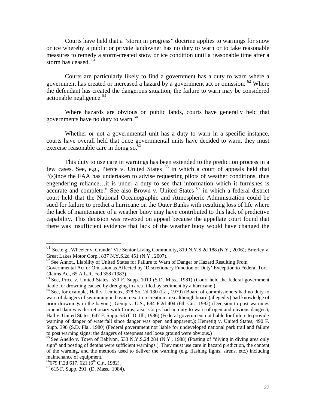Courts have held that a "storm in progress" doctrine applies to warnings for snow or ice whereby a public or private landowner has no duty to warn or to take reasonable measures to remedy a storm-created snow or ice condition until a reasonable time after a storm has ceased.<sup>61</sup>

 Courts are particularly likely to find a government has a duty to warn where a government has created or increased a hazard by a government act or omission.  $62$  Where the defendant has created the dangerous situation, the failure to warn may be considered actionable negligence. $63$ 

 Where hazards are obvious on public lands, courts have generally held that governments have no duty to warn.<sup>64</sup>

 Whether or not a governmental unit has a duty to warn in a specific instance, courts have overall held that once governmental units have decided to warn, they must exercise reasonable care in doing so.<sup>65</sup>

 This duty to use care in warnings has been extended to the prediction process in a few cases. See, e.g., Pierce v. United States <sup>66</sup> in which a court of appeals held that "(s)ince the FAA has undertaken to advise requesting pilots of weather conditions, thus engendering reliance…it is under a duty to see that information which it furnishes is accurate and complete." See also Brown v. United States  $67$  in which a federal district court held that the National Oceanographic and Atmospheric Administration could be sued for failure to predict a hurricane on the Outer Banks with resulting loss of life where the lack of maintenance of a weather buoy may have contributed to this lack of predictive capability. This decision was reversed on appeal because the appellate court found that there was insufficient evidence that lack of the weather buoy would have changed the

<sup>&</sup>lt;sup>61</sup> See e.g., Wheeler v. Grande' Vie Senior Living Community, 819 N.Y.S.2d 188 (N.Y., 2006); Brierley v. Great Lakes Motor Corp., 837 N.Y.S.2d 451 (N.Y., 2007).<br><sup>62</sup> See Annot., Liability of United States for Failure to Warn of Danger or Hazard Resulting From

Governmental Act or Omission as Affected by 'Discretionary Function or Duty' Exception to Federal Tort Claims Act, 65 A.L.R. Fed 358 (1983).

<sup>63</sup> See, Price v. United States, 530 F. Supp. 1010 (S.D. Miss., 1981) (Court held the federal government liable for drowning caused by dredging in area filled by sediment by a hurricane.)<br><sup>64</sup> See, for example, Hall v Lemieux, 378 So. 2d 130 (La., 1979) (Board of commissioners had no duty to

warn of dangers of swimming in bayou next to recreation area although board (allegedly) had knowledge of prior drownings in the bayou.); Gemp v. U.S., 684 F.2d 404 (6th Cir., 1982) (Decision to post warnings around dam was discretionary with Corps; also, Corps had no duty to warn of open and obvious danger.); Hall v. United States, 647 F. Supp. 53 (C.D. Ill., 1986) (Federal government not liable for failure to provide warning of danger of waterfall since danger was open and apparent.); Henretig v. United States, 490 F. Supp. 398 (S.D. Fla., 1980) (Federal government not liable for undeveloped national park trail and failure to post warning signs; the dangers of steepness and loose ground were obvious.)

 $^{65}$  See Anello v. Town of Bablyon, 533 N.Y.S.2d 284 (N.Y., 1988) (Posting of "diving in diving area only sign" and posting of depths were sufficient warnings.). They must use care in hazard prediction, the content of the warning, and the methods used to deliver the warning (e.g. flashing lights, sirens, etc.) including maintenance of equipment.<br> $^{66}$ 679 F.2d 617, 621 (6<sup>th</sup> Cir., 1982).

 $67$  615 F. Supp. 391 (D. Mass., 1984).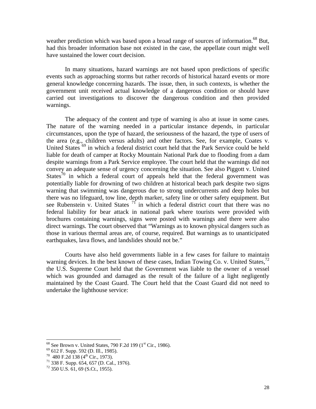weather prediction which was based upon a broad range of sources of information.<sup>68</sup> But, had this broader information base not existed in the case, the appellate court might well have sustained the lower court decision.

 In many situations, hazard warnings are not based upon predictions of specific events such as approaching storms but rather records of historical hazard events or more general knowledge concerning hazards. The issue, then, in such contexts, is whether the government unit received actual knowledge of a dangerous condition or should have carried out investigations to discover the dangerous condition and then provided warnings.

 The adequacy of the content and type of warning is also at issue in some cases. The nature of the warning needed in a particular instance depends, in particular circumstances, upon the type of hazard, the seriousness of the hazard, the type of users of the area (e.g., children versus adults) and other factors. See, for example, Coates v. United States <sup>69</sup> in which a federal district court held that the Park Service could be held liable for death of camper at Rocky Mountain National Park due to flooding from a dam despite warnings from a Park Service employee. The court held that the warnings did not convey an adequate sense of urgency concerning the situation. See also Piggott v. United States<sup>70</sup> in which a federal court of appeals held that the federal government was potentially liable for drowning of two children at historical beach park despite two signs warning that swimming was dangerous due to strong undercurrents and deep holes but there was no lifeguard, tow line, depth marker, safety line or other safety equipment. But see Rubenstein v. United States  $7<sup>T</sup>$  in which a federal district court that there was no federal liability for bear attack in national park where tourists were provided with brochures containing warnings, signs were posted with warnings and there were also direct warnings. The court observed that "Warnings as to known physical dangers such as those in various thermal areas are, of course, required. But warnings as to unanticipated earthquakes, lava flows, and landslides should not be."

 Courts have also held governments liable in a few cases for failure to maintain warning devices. In the best known of these cases, Indian Towing Co. v. United States,  $^{72}$ the U.S. Supreme Court held that the Government was liable to the owner of a vessel which was grounded and damaged as the result of the failure of a light negligently maintained by the Coast Guard. The Court held that the Coast Guard did not need to undertake the lighthouse service:

<sup>&</sup>lt;sup>68</sup> See Brown v. United States, 790 F.2d 199 (1<sup>st</sup> Cir., 1986). <sup>69</sup> 612 F. Supp. 592 (D. Ill., 1985).

 $^{69}$  612 F. Supp. 592 (D. Ill., 1985).<br>  $^{70}$  480 F.2d 138 (4<sup>th</sup> Cir., 1973).<br>
<sup>71</sup> 338 F. Supp. 654, 657 (D. Cal., 1976).

 $72$  350 U.S. 61, 69 (S.Ct., 1955).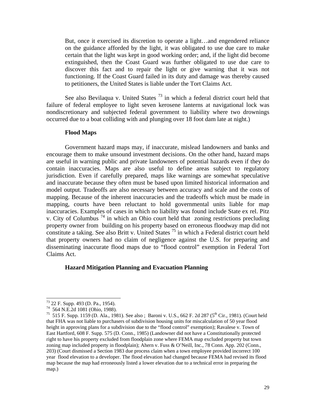But, once it exercised its discretion to operate a light…and engendered reliance on the guidance afforded by the light, it was obligated to use due care to make certain that the light was kept in good working order; and, if the light did become extinguished, then the Coast Guard was further obligated to use due care to discover this fact and to repair the light or give warning that it was not functioning. If the Coast Guard failed in its duty and damage was thereby caused to petitioners, the United States is liable under the Tort Claims Act.

See also Bevilaqua v. United States  $^{73}$  in which a federal district court held that failure of federal employee to light seven kerosene lanterns at navigational lock was nondiscretionary and subjected federal government to liability where two drownings occurred due to a boat colliding with and plunging over 18 foot dam late at night.)

## **Flood Maps**

 Government hazard maps may, if inaccurate, mislead landowners and banks and encourage them to make unsound investment decisions. On the other hand, hazard maps are useful in warning public and private landowners of potential hazards even if they do contain inaccuracies. Maps are also useful to define areas subject to regulatory jurisdiction. Even if carefully prepared, maps like warnings are somewhat speculative and inaccurate because they often must be based upon limited historical information and model output. Tradeoffs are also necessary between accuracy and scale and the costs of mapping. Because of the inherent inaccuracies and the tradeoffs which must be made in mapping, courts have been reluctant to hold governmental units liable for map inaccuracies. Examples of cases in which no liability was found include State ex rel. Pitz v. City of Columbus  $^{74}$  in which an Ohio court held that zoning restrictions precluding property owner from building on his property based on erroneous floodway map did not constitute a taking. See also Britt v. United States  $^{75}$  in which a Federal district court held that property owners had no claim of negligence against the U.S. for preparing and disseminating inaccurate flood maps due to "flood control" exemption in Federal Tort Claims Act.

## **Hazard Mitigation Planning and Evacuation Planning**

<sup>73 22</sup> F. Supp. 493 (D. Pa., 1954).

<sup>74 564</sup> N.E.2d 1081 (Ohio, 1988).

<sup>&</sup>lt;sup>75</sup> 515 F. Supp. 1159 (D. Ala., 1981). See also; Baroni v. U.S., 662 F. 2d 287 (5<sup>th</sup> Cir., 1981). (Court held that FHA was not liable to purchasers of subdivision housing units for miscalculation of 50 year flood height in approving plans for a subdivision due to the "flood control" exemption); Ravalese v. Town of East Hartford, 608 F. Supp. 575 (D. Conn., 1985) (Landowner did not have a Constitutionally protected right to have his property excluded from floodplain zone where FEMA map excluded property but town zoning map included property in floodplain); Ahern v. Fuss & O'Neill, Inc., 78 Conn. App. 202 (Conn., 203) (Court dismissed a Section 1983 due process claim when a town employee provided incorrect 100 year flood elevation to a developer. The flood elevation had changed because FEMA had revised its flood map because the map had erroneously listed a lower elevation due to a technical error in preparing the map.)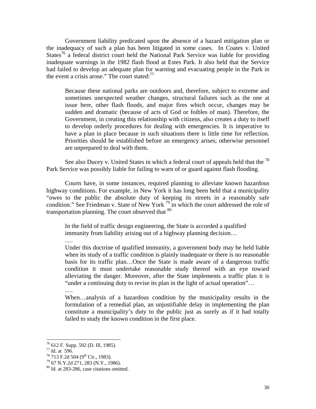Government liability predicated upon the absence of a hazard mitigation plan or the inadequacy of such a plan has been litigated in some cases. In Coates v. United States<sup>76</sup> a federal district court held the National Park Service was liable for providing inadequate warnings in the 1982 flash flood at Estes Park. It also held that the Service had failed to develop an adequate plan for warning and evacuating people in the Park in the event a crisis arose." The court stated:<sup>77</sup>

Because these national parks are outdoors and, therefore, subject to extreme and sometimes unexpected weather changes, structural failures such as the one at issue here, other flash floods, and major fires which occur, changes may be sudden and dramatic (because of acts of God or foibles of man). Therefore, the Government, in creating this relationship with citizens, also creates a duty to itself to develop orderly procedures for dealing with emergencies. It is imperative to have a plan in place because in such situations there is little time for reflection. Priorities should be established before an emergency arises; otherwise personnel are unprepared to deal with them.

See also Ducey v. United States in which a federal court of appeals held that the  $^{78}$ Park Service was possibly liable for failing to warn of or guard against flash flooding.

 Courts have, in some instances, required planning to alleviate known hazardous highway conditions. For example, in New York it has long been held that a municipality "owes to the public the absolute duty of keeping its streets in a reasonably safe condition." See Friedman v. State of New York <sup>79</sup> in which the court addressed the role of transportation planning. The court observed that  $80$ 

In the field of traffic design engineering, the State is accorded a qualified immunity from liability arising out of a highway planning decision…

….

Under this doctrine of qualified immunity, a government body may be held liable when its study of a traffic condition is plainly inadequate or there is no reasonable basis for its traffic plan…Once the State is made aware of a dangerous traffic condition it must undertake reasonable study thereof with an eye toward alleviating the danger. Moreover, after the State implements a traffic plan it is "under a continuing duty to revise its plan in the light of actual operation"…

….

When…analysis of a hazardous condition by the municipality results in the formulation of a remedial plan, an unjustifiable delay in implementing the plan constitute a municipality's duty to the public just as surely as if it had totally failed to study the known condition in the first place.

<sup>76 612</sup> F. Supp. 592 (D. Ill, 1985).

 $^{77}$  Id. at 596.<br><sup>78</sup> 713 F.2d 504 (9<sup>th</sup> Cir., 1983).

 $79\,67\,\mathrm{N.Y}.2d\,271, 283\,\mathrm{(N.Y.,\,1986)}.$ 

<sup>80</sup> Id. at 283-286, case citations omitted.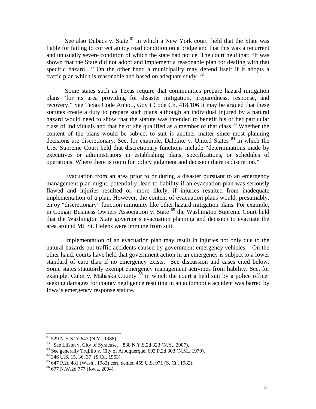See also Dubacs v. State <sup>81</sup> in which a New York court held that the State was liable for failing to correct an icy road condition on a bridge and that this was a recurrent and unusually severe condition of which the state had notice. The court held that: "It was shown that the State did not adopt and implement a reasonable plan for dealing with that specific hazard...." On the other hand a municipality may defend itself if it adopts a traffic plan which is reasonable and based on adequate study. <sup>82</sup>

 Some states such as Texas require that communities prepare hazard mitigation plans "for its area providing for disaster mitigation, preparedness, response, and recovery." See Texas Code Annot., Gov't Code Ch. 418.106 It may be argued that these statutes create a duty to prepare such plans although an individual injured by a natural hazard would need to show that the statute was intended to benefit his or her particular class of individuals and that he or she qualified as a member of that class.<sup>83</sup> Whether the content of the plans would be subject to suit is another matter since most planning decisions are discretionary. See, for example, Dalehite v. United States <sup>84</sup> in which the U.S. Supreme Court held that discretionary functions include "determinations made by executives or administrators in establishing plans, specifications, or schedules of operations. Where there is room for policy judgment and decision there is discretion."

 Evacuation from an area prior to or during a disaster pursuant to an emergency management plan might, potentially, lead to liability if an evacuation plan was seriously flawed and injuries resulted or, more likely, if injuries resulted from inadequate implementation of a plan. However, the content of evacuation plans would, presumably, enjoy "discretionary" function immunity like other hazard mitigation plans. For example, in Cougar Business Owners Association v. State <sup>85</sup> the Washington Supreme Court held that the Washington State governor's evacuation planning and decision to evacuate the area around Mt. St. Helens were immune from suit.

 Implementation of an evacuation plan may result in injuries not only due to the natural hazards but traffic accidents caused by government emergency vehicles. On the other hand, courts have held that government action in an emergency is subject to a lower standard of care than if no emergency exists. See discussion and cases cited below. Some states statutorily exempt emergency management activities from liability. See, for example, Cubit v. Mahaska County  $\frac{86}{6}$  in which the court a held suit by a police officer seeking damages for county negligence resulting in an automobile accident was barred by Iowa's emergency response statute.

 $81$  529 N.Y.S.2d 643 (N.Y., 1988).

<sup>&</sup>lt;sup>82</sup> See Lifson v. City of Syracuse, 838 N.Y.S.2d 323 (N.Y., 2007).<br><sup>83</sup> See generally Trujillo v. City of Albuquerque, 603 P.2d 303 (N.M., 1979).

 $84$  346 U.S. 15, 36, 37 (S.Ct., 1953).

<sup>85 647</sup> P.2d 481 (Wash., 1982) cert. denied 459 U.S. 971 (S. Ct., 1982).

<sup>86 677</sup> N.W.2d 777 (Iowa, 2004).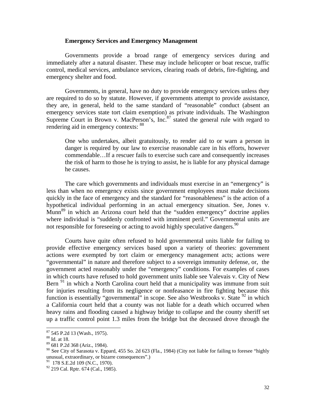## **Emergency Services and Emergency Management**

 Governments provide a broad range of emergency services during and immediately after a natural disaster. These may include helicopter or boat rescue, traffic control, medical services, ambulance services, clearing roads of debris, fire-fighting, and emergency shelter and food.

 Governments, in general, have no duty to provide emergency services unless they are required to do so by statute. However, if governments attempt to provide assistance, they are, in general, held to the same standard of "reasonable" conduct (absent an emergency services state tort claim exemption) as private individuals. The Washington Supreme Court in Brown v. MacPerson's,  $Inc<sup>87</sup>$  stated the general rule with regard to rendering aid in emergency contexts: <sup>88</sup>

One who undertakes, albeit gratuitously, to render aid to or warn a person in danger is required by our law to exercise reasonable care in his efforts, however commendable…If a rescuer fails to exercise such care and consequently increases the risk of harm to those he is trying to assist, he is liable for any physical damage he causes.

 The care which governments and individuals must exercise in an "emergency" is less than when no emergency exists since government employees must make decisions quickly in the face of emergency and the standard for "reasonableness" is the action of a hypothetical individual performing in an actual emergency situation. See, Jones v. Munn<sup>89</sup> in which an Arizona court held that the "sudden emergency" doctrine applies where individual is "suddenly confronted with imminent peril." Governmental units are not responsible for foreseeing or acting to avoid highly speculative dangers.  $90$ 

 Courts have quite often refused to hold governmental units liable for failing to provide effective emergency services based upon a variety of theories: government actions were exempted by tort claim or emergency management acts; actions were "governmental" in nature and therefore subject to a sovereign immunity defense, or, the government acted reasonably under the "emergency" conditions. For examples of cases in which courts have refused to hold government units liable see Valevais v. City of New Bern  $91$  in which a North Carolina court held that a municipality was immune from suit for injuries resulting from its negligence or nonfeasance in fire fighting because this function is essentially "governmental" in scope. See also Westbrooks v. State  $92$  in which a California court held that a county was not liable for a death which occurred when heavy rains and flooding caused a highway bridge to collapse and the county sheriff set up a traffic control point 1.3 miles from the bridge but the deceased drove through the

 $87$  545 P.2d 13 (Wash., 1975).

<sup>88</sup> Id. at 18.

<sup>89 681</sup> P.2d 368 (Ariz., 1984).

 $90$  See City of Sarasota v. Eppard, 455 So. 2d 623 (Fla., 1984) (City not liable for failing to foresee "highly" unusual, extraordinary, or bizarre consequences".)<br><sup>91</sup> 178 S.E.2d 109 (N.C., 1970).

<sup>&</sup>lt;sup>92</sup> 219 Cal. Rptr. 674 (Cal., 1985).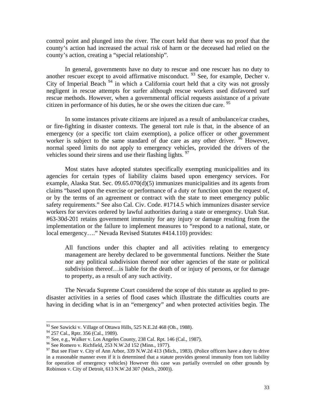control point and plunged into the river. The court held that there was no proof that the county's action had increased the actual risk of harm or the deceased had relied on the county's action, creating a "special relationship".

 In general, governments have no duty to rescue and one rescuer has no duty to another rescuer except to avoid affirmative misconduct. <sup>93</sup> See, for example, Decher v. City of Imperial Beach  $94$  in which a California court held that a city was not grossly negligent in rescue attempts for surfer although rescue workers used disfavored surf rescue methods. However, when a governmental official requests assistance of a private citizen in performance of his duties, he or she owes the citizen due care.  $95$ 

 In some instances private citizens are injured as a result of ambulance/car crashes, or fire-fighting in disaster contexts. The general tort rule is that, in the absence of an emergency (or a specific tort claim exemption), a police officer or other government worker is subject to the same standard of due care as any other driver. <sup>96</sup> However, normal speed limits do not apply to emergency vehicles, provided the drivers of the vehicles sound their sirens and use their flashing lights.  $97$ 

 Most states have adopted statutes specifically exempting municipalities and its agencies for certain types of liability claims based upon emergency services. For example, Alaska Stat. Sec. 09.65.070(d)(5) immunizes municipalities and its agents from claims "based upon the exercise or performance of a duty or function upon the request of, or by the terms of an agreement or contract with the state to meet emergency public safety requirements." See also Cal. Civ. Code. #1714.5 which immunizes disaster service workers for services ordered by lawful authorities during a state or emergency. Utah Stat. #63-30d-201 retains government immunity for any injury or damage resulting from the implementation or the failure to implement measures to "respond to a national, state, or local emergency…." Nevada Revised Statutes #414.110) provides:

All functions under this chapter and all activities relating to emergency management are hereby declared to be governmental functions. Neither the State nor any political subdivision thereof nor other agencies of the state or political subdivision thereof…is liable for the death of or injury of persons, or for damage to property, as a result of any such activity.

 The Nevada Supreme Court considered the scope of this statute as applied to predisaster activities in a series of flood cases which illustrate the difficulties courts are having in deciding what is in an "emergency" and when protected activities begin. The

 $93$  See Sawicki v. Village of Ottawa Hills, 525 N.E.2d 468 (Oh., 1988).

<sup>&</sup>lt;sup>94</sup> 257 Cal., Rptr. 356 (Cal., 1989).

<sup>&</sup>lt;sup>95</sup> See, e.g., Walker v. Los Angeles County, 238 Cal. Rpt. 146 (Cal., 1987).<br><sup>96</sup> See Romero v. Richfield, 253 N.W.2d 152 (Minn., 1977).

 $97$  But see Fiser v. City of Ann Arbor, 339 N.W.2d 413 (Mich., 1983). (Police officers have a duty to drive in a reasonable manner even if it is determined that a statute provides general immunity from tort liability for operation of emergency vehicles) However this case was partially overruled on other grounds by Robinson v. City of Detroit, 613 N.W.2d 307 (Mich., 2000)).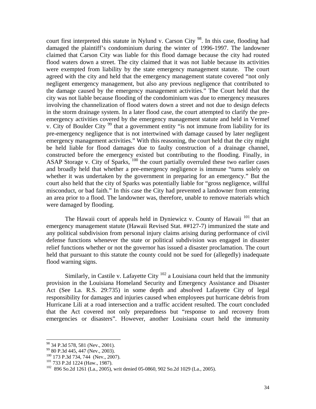court first interpreted this statute in Nylund v. Carson City<sup>98</sup>. In this case, flooding had damaged the plaintiff's condominium during the winter of 1996-1997. The landowner claimed that Carson City was liable for this flood damage because the city had routed flood waters down a street. The city claimed that it was not liable because its activities were exempted from liability by the state emergency management statute. The court agreed with the city and held that the emergency management statute covered "not only negligent emergency management, but also any previous negligence that contributed to the damage caused by the emergency management activities." The Court held that the city was not liable because flooding of the condominium was due to emergency measures involving the channelization of flood waters down a street and not due to design defects in the storm drainage system. In a later flood case, the court attempted to clarify the preemergency activities covered by the emergency management statute and held in Vermef v. City of Boulder City <sup>99</sup> that a government entity "is not immune from liability for its pre-emergency negligence that is not intertwined with damage caused by later negligent emergency management activities." With this reasoning, the court held that the city might be held liable for flood damages due to faulty construction of a drainage channel, constructed before the emergency existed but contributing to the flooding. Finally, in ASAP Storage v. City of Sparks, 100 the court partially overruled these two earlier cases and broadly held that whether a pre-emergency negligence is immune "turns solely on whether it was undertaken by the government in preparing for an emergency." But the court also held that the city of Sparks was potentially liable for "gross negligence, willful misconduct, or bad faith." In this case the City had prevented a landowner from entering an area prior to a flood. The landowner was, therefore, unable to remove materials which were damaged by flooding.

The Hawaii court of appeals held in Dyniewicz v. County of Hawaii  $^{101}$  that an emergency management statute (Hawaii Revised Stat. ##127-7) immunized the state and any political subdivision from personal injury claims arising during performance of civil defense functions whenever the state or political subdivision was engaged in disaster relief functions whether or not the governor has issued a disaster proclamation. The court held that pursuant to this statute the county could not be sued for (allegedly) inadequate flood warning signs.

Similarly, in Castile v. Lafayette City  $102$  a Louisiana court held that the immunity provision in the Louisiana Homeland Security and Emergency Assistance and Disaster Act (See La. R.S. 29:735) in some depth and absolved Lafayette City of legal responsibility for damages and injuries caused when employees put hurricane debris from Hurricane Lili at a road intersection and a traffic accident resulted. The court concluded that the Act covered not only preparedness but "response to and recovery from emergencies or disasters". However, another Louisiana court held the immunity

<sup>&</sup>lt;sup>98</sup> 34 P.3d 578, 581 (Nev., 2001).<br><sup>99</sup> 80 P.3d 445, 447 (Nev., 2003).

<sup>&</sup>lt;sup>100</sup> 173 P.3d 734, 744 (Nev., 2007).<br><sup>101</sup> 733 P.2d 1224 (Haw., 1987).<br><sup>102</sup> 896 So.2d 1261 (La., 2005), writ denied 05-0860, 902 So.2d 1029 (La., 2005).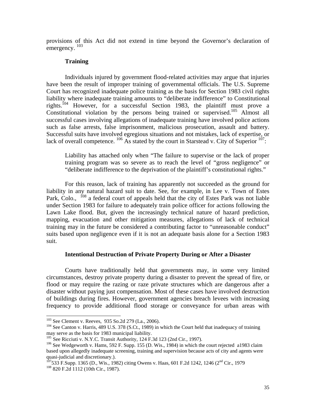provisions of this Act did not extend in time beyond the Governor's declaration of emergency.<sup>103</sup>

## **Training**

 Individuals injured by government flood-related activities may argue that injuries have been the result of improper training of governmental officials. The U.S. Supreme Court has recognized inadequate police training as the basis for Section 1983 civil rights liability where inadequate training amounts to "deliberate indifference" to Constitutional rights.<sup>104</sup> However, for a successful Section 1983, the plaintiff must prove a Constitutional violation by the persons being trained or supervised.<sup>105</sup> Almost all successful cases involving allegations of inadequate training have involved police actions such as false arrests, false imprisonment, malicious prosecution, assault and battery. Successful suits have involved egregious situations and not mistakes, lack of expertise, or lack of overall competence.  $^{106}$  As stated by the court in Starstead v. City of Superior  $^{107}$ :

Liability has attached only when "The failure to supervise or the lack of proper training program was so severe as to reach the level of "gross negligence" or "deliberate indifference to the deprivation of the plaintiff's constitutional rights."

 For this reason, lack of training has apparently not succeeded as the ground for liability in any natural hazard suit to date. See, for example, in Lee v. Town of Estes Park, Colo., <sup>108</sup> a federal court of appeals held that the city of Estes Park was not liable under Section 1983 for failure to adequately train police officer for actions following the Lawn Lake flood. But, given the increasingly technical nature of hazard prediction, mapping, evacuation and other mitigation measures, allegations of lack of technical training may in the future be considered a contributing factor to "unreasonable conduct" suits based upon negligence even if it is not an adequate basis alone for a Section 1983 suit.

## **Intentional Destruction of Private Property During or After a Disaster**

 Courts have traditionally held that governments may, in some very limited circumstances, destroy private property during a disaster to prevent the spread of fire, or flood or may require the razing or raze private structures which are dangerous after a disaster without paying just compensation. Most of these cases have involved destruction of buildings during fires. However, government agencies breach levees with increasing frequency to provide additional flood storage or conveyance for urban areas with

<sup>&</sup>lt;sup>103</sup> See Clement v. Reeves, 935 So.2d 279 (La., 2006).

 $104$  See Canton v. Harris, 489 U.S. 378 (S.Ct., 1989) in which the Court held that inadequacy of training may serve as the basis for 1983 municipal liability.<br><sup>105</sup> See Ricciuti v. N.Y.C. Transit Authority, 124 F.3d 123 (2nd Cir., 1997).

 $106$  See Wedgeworth v. Hams, 592 F. Supp. 155 (D. Wis., 1984) in which the court rejected a1983 claim based upon allegedly inadequate screening, training and supervision because acts of city and agents were quasi-judicial and discretionary.).

 $^{107}$ 533 F.Supp. 1365 (D., Wis., 1982) citing Owens v. Haas, 601 F.2d 1242, 1246 (2<sup>nd</sup> Cir., 1979 <sup>108</sup> 820 F.2d 1112 (10th Cir., 1987).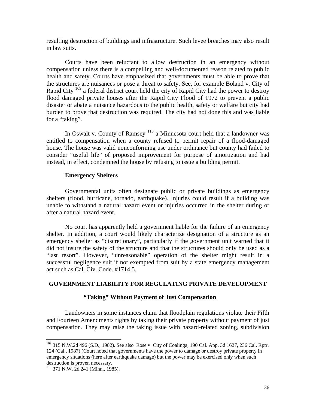resulting destruction of buildings and infrastructure. Such levee breaches may also result in law suits.

 Courts have been reluctant to allow destruction in an emergency without compensation unless there is a compelling and well-documented reason related to public health and safety. Courts have emphasized that governments must be able to prove that the structures are nuisances or pose a threat to safety. See, for example Boland v. City of Rapid City <sup>109</sup> a federal district court held the city of Rapid City had the power to destroy flood damaged private houses after the Rapid City Flood of 1972 to prevent a public disaster or abate a nuisance hazardous to the public health, safety or welfare but city had burden to prove that destruction was required. The city had not done this and was liable for a "taking".

 In Oswalt v. County of Ramsey 110 a Minnesota court held that a landowner was entitled to compensation when a county refused to permit repair of a flood-damaged house. The house was valid nonconforming use under ordinance but county had failed to consider "useful life" of proposed improvement for purpose of amortization and had instead, in effect, condemned the house by refusing to issue a building permit.

#### **Emergency Shelters**

 Governmental units often designate public or private buildings as emergency shelters (flood, hurricane, tornado, earthquake). Injuries could result if a building was unable to withstand a natural hazard event or injuries occurred in the shelter during or after a natural hazard event.

 No court has apparently held a government liable for the failure of an emergency shelter. In addition, a court would likely characterize designation of a structure as an emergency shelter as "discretionary", particularly if the government unit warned that it did not insure the safety of the structure and that the structures should only be used as a "last resort". However, "unreasonable" operation of the shelter might result in a successful negligence suit if not exempted from suit by a state emergency management act such as Cal. Civ. Code. #1714.5.

## **GOVERNMENT LIABILITY FOR REGULATING PRIVATE DEVELOPMENT**

## **"Taking" Without Payment of Just Compensation**

 Landowners in some instances claim that floodplain regulations violate their Fifth and Fourteen Amendments rights by taking their private property without payment of just compensation. They may raise the taking issue with hazard-related zoning, subdivision

<sup>&</sup>lt;sup>109</sup> 315 N.W.2d 496 (S.D., 1982). See also Rose v. City of Coalinga, 190 Cal. App. 3d 1627, 236 Cal. Rptr. 124 (Cal., 1987) (Court noted that governments have the power to damage or destroy private property in emergency situations (here after earthquake damage) but the power may be exercised only when such destruction is proven necessary.

<sup>110 371</sup> N.W. 2d 241 (Minn., 1985).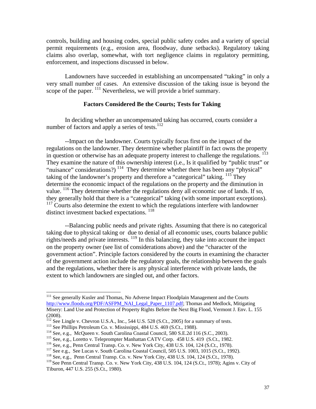controls, building and housing codes, special public safety codes and a variety of special permit requirements (e.g., erosion area, floodway, dune setbacks). Regulatory taking claims also overlap, somewhat, with tort negligence claims in regulatory permitting, enforcement, and inspections discussed in below.

 Landowners have succeeded in establishing an uncompensated "taking" in only a very small number of cases. An extensive discussion of the taking issue is beyond the scope of the paper. <sup>111</sup> Nevertheless, we will provide a brief summary.

## **Factors Considered Be the Courts; Tests for Taking**

In deciding whether an uncompensated taking has occurred, courts consider a number of factors and apply a series of tests. $112$ 

--Impact on the landowner. Courts typically focus first on the impact of the regulations on the landowner. They determine whether plaintiff in fact owns the property in question or otherwise has an adequate property interest to challenge the regulations. <sup>113</sup> They examine the nature of this ownership interest (i.e., Is it qualified by "public trust" or "nuisance" considerations?)<sup>114</sup> They determine whether there has been any "physical" taking of the landowner's property and therefore a "categorical" taking. <sup>115</sup> They determine the economic impact of the regulations on the property and the diminution in value. 116 They determine whether the regulations deny all economic use of lands. If so, they generally hold that there is a "categorical" taking (with some important exceptions). <sup>117</sup> Courts also determine the extent to which the regulations interfere with landowner distinct investment backed expectations.  $^{118}$ 

--Balancing public needs and private rights. Assuming that there is no categorical taking due to physical taking or due to denial of all economic uses, courts balance public rights/needs and private interests. 119 In this balancing, they take into account the impact on the property owner (see list of considerations above) and the "character of the government action". Principle factors considered by the courts in examining the character of the government action include the regulatory goals, the relationship between the goals and the regulations, whether there is any physical interference with private lands, the extent to which landowners are singled out, and other factors.

<sup>&</sup>lt;sup>111</sup> See generally Kusler and Thomas, No Adverse Impact Floodplain Management and the Courts http://www.floods.org/PDF/ASFPM\_NAI\_Legal\_Paper\_1107.pdf; Thomas and Medlock, Mitigating Misery: Land Use and Protection of Property Rights Before the Next Big Flood, Vermont J. Env. L. 155 (2008).

<sup>&</sup>lt;sup>112</sup> See Lingle v. Chevron U.S.A., Inc., 544 U.S. 528 (S.Ct., 2005) for a summary of tests.<br><sup>113</sup> See Phillips Petroleum Co. v. Mississippi, 484 U.S. 469 (S.Ct., 1988).<br><sup>114</sup> See, e.g., McQueen v. South Carolina Coastal

<sup>&</sup>lt;sup>119</sup> See Penn Central Transp. Co. v. New York City, 438 U.S. 104, 124 (S.Ct., 1978); Agins v. City of Tiburon, 447 U.S. 255 (S.Ct., 1980).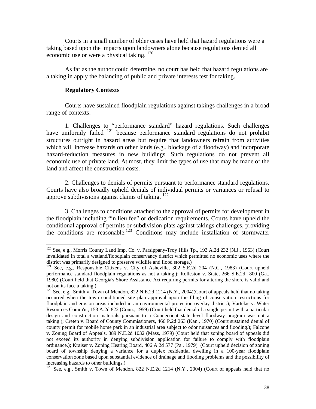Courts in a small number of older cases have held that hazard regulations were a taking based upon the impacts upon landowners alone because regulations denied all economic use or were a physical taking. 120

 As far as the author could determine, no court has held that hazard regulations are a taking in apply the balancing of public and private interests test for taking.

## **Regulatory Contexts**

 $\overline{a}$ 

 Courts have sustained floodplain regulations against takings challenges in a broad range of contexts:

1. Challenges to "performance standard" hazard regulations. Such challenges have uniformly failed  $121$  because performance standard regulations do not prohibit structures outright in hazard areas but require that landowners refrain from activities which will increase hazards on other lands (e.g., blockage of a floodway) and incorporate hazard-reduction measures in new buildings. Such regulations do not prevent all economic use of private land. At most, they limit the types of use that may be made of the land and affect the construction costs.

 2. Challenges to denials of permits pursuant to performance standard regulations. Courts have also broadly upheld denials of individual permits or variances or refusal to approve subdivisions against claims of taking. 122

 3. Challenges to conditions attached to the approval of permits for development in the floodplain including "in lieu fee" or dedication requirements. Courts have upheld the conditional approval of permits or subdivision plats against takings challenges, providing the conditions are reasonable.<sup>123</sup> Conditions may include installation of stormwater

<sup>&</sup>lt;sup>120</sup> See, e.g., Morris County Land Imp. Co. v. Parsippany-Troy Hills Tp., 193 A.2d 232 (N.J., 1963) (Court invalidated in total a wetland/floodplain conservancy district which permitted no economic uses where the district was primarily designed to preserve wildlife and flood storage.)

<sup>&</sup>lt;sup>121</sup> See, e.g., Responsible Citizens v. City of Asheville, 302 S.E.2d 204 (N.C., 1983) (Court upheld performance standard floodplain regulations as not a taking.); Rolleston v. State, 266 S.E.2d 800 (Ga., 1980) (Court held that Georgia's Shore Assistance Act requiring permits for altering the shore is valid and not on its face a taking.)

<sup>&</sup>lt;sup>122</sup> See, e.g., Smith v. Town of Mendon, 822 N.E.2d 1214 (N.Y., 2004)(Court of appeals held that no taking occurred when the town conditioned site plan approval upon the filing of conservation restrictions for floodplain and erosion areas included in an environmental protection overlay district.); Vartelas v. Water Resources Comm'n., 153 A.2d 822 (Conn., 1959) (Court held that denial of a single permit with a particular design and construction materials pursuant to a Connecticut state level floodway program was not a taking.); Creten v. Board of County Commissioners, 466 P.2d 263 (Kan., 1970) (Court sustained denial of county permit for mobile home park in an industrial area subject to odor nuisances and flooding.); Falcone v. Zoning Board of Appeals, 389 N.E.2d 1032 (Mass, 1979) (Court held that zoning board of appeals did not exceed its authority in denying subdivision application for failure to comply with floodplain ordinance.); Kraiser v. Zoning Hearing Board, 406 A.2d 577 (Pa., 1979) (Court upheld decision of zoning board of township denying a variance for a duplex residential dwelling in a 100-year floodplain conservation zone based upon substantial evidence of drainage and flooding problems and the possibility of increasing hazards to other buildings.)

<sup>&</sup>lt;sup>123</sup> See, e.g., Smith v. Town of Mendon, 822 N.E.2d 1214 (N.Y., 2004) (Court of appeals held that no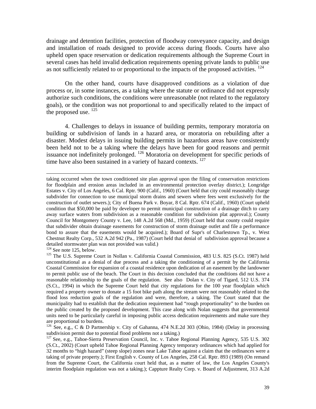drainage and detention facilities, protection of floodway conveyance capacity, and design and installation of roads designed to provide access during floods. Courts have also upheld open space reservation or dedication requirements although the Supreme Court in several cases has held invalid dedication requirements opening private lands to public use as not sufficiently related to or proportional to the impacts of the proposed activities.  $^{124}$ 

 On the other hand, courts have disapproved conditions as a violation of due process or, in some instances, as a taking where the statute or ordinance did not expressly authorize such conditions, the conditions were unreasonable (not related to the regulatory goals), or the condition was not proportional to and specifically related to the impact of the proposed use.  $^{125}$ 

 4. Challenges to delays in issuance of building permits, temporary moratoria on building or subdivision of lands in a hazard area, or moratoria on rebuilding after a disaster. Modest delays in issuing building permits in hazardous areas have consistently been held not to be a taking where the delays have been for good reasons and permit issuance not indefinitely prolonged. 126 Moratoria on development for specific periods of time have also been sustained in a variety of hazard contexts. <sup>127</sup>

taking occurred when the town conditioned site plan approval upon the filing of conservation restrictions for floodplain and erosion areas included in an environmental protection overlay district.); Longridge Estates v. City of Los Angeles, 6 Cal. Rptr. 900 (Calif., 1960) (Court held that city could reasonably charge subdivider for connection to use municipal storm drains and sewers where fees went exclusively for the construction of outlet sewers.); City of Buena Park v. Boyar, 8 Cal. Rptr. 674 (Calif., 1960) (Court upheld condition that \$50,000 be paid by developer to permit municipal construction of a drainage ditch to carry away surface waters from subdivision as a reasonable condition for subdivision plat approval.); County Council for Montgomery County v. Lee, 148 A.2d 568 (Md., 1959) (Court held that county could require that subdivider obtain drainage easements for construction of storm drainage outlet and file a performance bond to assure that the easements would be acquired.); Board of Supr's of Charlestown Tp., v. West Chestnut Realty Corp., 532 A.2d 942 (Pa., 1987) (Court held that denial of subdivision approval because a detailed stormwater plan was not provided was valid.)<br><sup>124</sup> See note 125, below.

<sup>&</sup>lt;sup>125</sup> The U.S. Supreme Court in Nollan v. California Coastal Commission, 483 U.S. 825 (S.Ct. 1987) held unconstitutional as a denial of due process and a taking the conditioning of a permit by the California Coastal Commission for expansion of a coastal residence upon dedication of an easement by the landowner to permit public use of the beach. The Court in this decision concluded that the conditions did not have a reasonable relationship to the goals of the regulation. See also Dolan v. City of Tigard, 512 U.S. 374 (S.Ct., 1994) in which the Supreme Court held that city regulations for the 100 year floodplain which required a property owner to donate a 15 foot bike path along the stream were not reasonably related to the flood loss reduction goals of the regulation and were, therefore, a taking. The Court stated that the municipality had to establish that the dedication requirement had "rough proportionality" to the burden on the public created by the proposed development. This case along with Nolan suggests that governmental units need to be particularly careful in imposing public access dedication requirements and make sure they are proportional to burdens.

<sup>&</sup>lt;sup>126</sup> See, e.g., C & D Partnership v. City of Gahanna, 474 N.E.2d 303 (Ohio, 1984) (Delay in processing subdivision permit due to potential flood problems not a taking.)

<sup>&</sup>lt;sup>127</sup> See, e.g., Tahoe-Sierra Preservation Council, Inc. v. Tahoe Regional Planning Agency, 535 U.S. 302 (S.Ct., 2002) (Court upheld Tahoe Regional Planning Agency temporary ordinances which had applied for 32 months to "high hazard" (steep slope) zones near Lake Tahoe against a claim that the ordinances were a taking of private property.); First English v. County of Los Angeles, 258 Cal. Rptr. 893 (1989) (On remand from the Supreme Court, the California court held that, as a matter of law, the Los Angeles County's interim floodplain regulation was not a taking.); Cappture Realty Corp. v. Board of Adjustment, 313 A.2d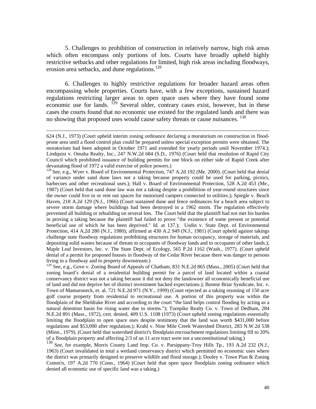5. Challenges to prohibition of construction in relatively narrow, high risk areas which often encompass only portions of lots. Courts have broadly upheld highly restrictive setbacks and other regulations for limited, high risk areas including floodways, erosion area setbacks, and dune regulations.<sup>128</sup>

 6. Challenges to highly restrictive regulations for broader hazard areas often encompassing whole properties. Courts have, with a few exceptions, sustained hazard regulations restricting larger areas to open space uses where they have found some economic use for lands. <sup>129</sup> Several older, contrary cases exist, however, but in these cases the courts found that no economic use existed for the regulated lands and there was no showing that proposed uses would cause safety threats or cause nuisances.<sup>130</sup>

 $\overline{a}$ 

<sup>129</sup> See, e.g., Gove v. Zoning Board of Appeals of Chatham, 831 N.E.2d 865 (Mass., 2005) (Court held that zoning board's denial of a residential building permit for a parcel of land located within a coastal conservancy district was not a taking because it did not deny the landowner all economically beneficial use of land and did not deprive her of distinct investment backed expectations.); Bonnie Briar Syndicate, Inc. v. Town of Mamaroneck, et. al. 721 N.E.2d 971 (N.Y., 1999) (Court rejected as a taking rezoning of 150 acre golf course property from residential to recreational use. A portion of this property was within the floodplain of the Sheldrake River and according to the court "the land helps control flooding by acting as a natural detention basin for rising water due to storms."); Turnpike Realty Co. v. Town of Dedham, 284 N.E.2d 891 (Mass., 1972), cert. denied, 409 U.S. 1108 (1973) (Court upheld zoning regulations essentially limiting the floodplain to open space uses despite testimony that the land was worth \$431,000 before regulations and \$53,000 after regulation.); Krahl v. Nine Mile Creek Watershed District, 283 N.W.2d 538 (Minn., 1979). (Court held that watershed district's floodplain encroachment regulations limiting fill to 20% of a floodplain property and affecting 2/3 of an 11 acre tract were not a unconstitutional taking.)

<sup>130</sup> See, for example, Morris County Land Imp. Co. v. Parsippany-Troy Hills Tp., 193 A.2d 232 (N.J., 1963) (Court invalidated in total a wetland conservancy district which permitted no economic uses where the district was primarily designed to preserve wildlife and flood storage.); Dooley v. Town Plan & Zoning Comm'n, 197 A.2d 770 (Conn., 1964) (Court held that open space floodplain zoning ordinance which denied all economic use of specific land was a taking.)

<sup>624 (</sup>N.J., 1973) (Court upheld interim zoning ordinance declaring a moratorium on construction in floodprone area until a flood control plan could be prepared unless special exception permits were obtained. The moratorium had been adopted in October 1971 and extended for yearly periods until November 1974.); Lindquist v. Omaha Realty, Inc., 247 N.W.2d 684 (S.D., 1976) (Court held that resolution of Rapid City Council which prohibited issuance of building permits for one block on either side of Rapid Creek after devastating flood of 1972 a valid exercise of police powers.)

<sup>&</sup>lt;sup>128</sup> See, e.g., Wyer v. Board of Environmental Protection, 747 A.2d 192 (Me. 2000). (Court held that denial of variance under sand dune laws not a taking because property could be used for parking, picnics, barbecues and other recreational uses.); Hall v. Board of Environmental Protection, 528 A.2d 453 (Me., 1987) (Court held that sand dune law was not a taking despite a prohibition of year-round structures since the owner could live in or rent out spaces for motorized campers connected to utilities.); Spiegle v. Beach Haven, 218 A.2d 129 (N.J., 1966) (Court sustained dune and fence ordinances for a beach area subject to severe storm damage where buildings had been destroyed in a 1962 storm. The regulation effectively prevented all building or rebuilding on several lots. The Court held that the plaintiff had not met his burden in proving a taking because the plaintiff had failed to prove "the existence of some present or potential beneficial use of which he has been deprived." Id. at 137.); Usdin v. State Dept. of Environmental Protection, 414 A.2d 280 (N.J., 1980); affirmed at 430 A.2 949 (N.J., 1981) (Court upheld against takings challenge state floodway regulations prohibiting structures for human occupancy, storage of materials, and depositing solid wastes because of threats to occupants of floodway lands and to occupants of other lands.); Maple Leaf Investors, Inc. v. The State Dept. of Ecology, 565 P.2d 1162 (Wash., 1977). (Court upheld denial of a permit for proposed houses in floodway of the Cedar River because there was danger to persons living in a floodway and to property downstream.)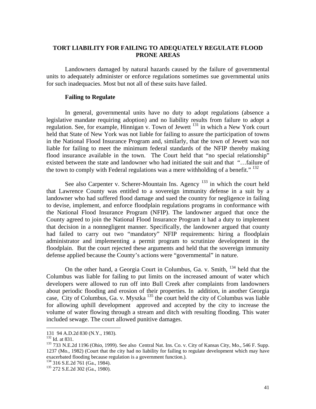# **TORT LIABILITY FOR FAILING TO ADEQUATELY REGULATE FLOOD PRONE AREAS**

 Landowners damaged by natural hazards caused by the failure of governmental units to adequately administer or enforce regulations sometimes sue governmental units for such inadequacies. Most but not all of these suits have failed.

## **Failing to Regulate**

 In general, governmental units have no duty to adopt regulations (absence a legislative mandate requiring adoption) and no liability results from failure to adopt a regulation. See, for example, Hinnigan v. Town of Jewett 131 in which a New York court held that State of New York was not liable for failing to assure the participation of towns in the National Flood Insurance Program and, similarly, that the town of Jewett was not liable for failing to meet the minimum federal standards of the NFIP thereby making flood insurance available in the town. The Court held that "no special relationship" existed between the state and landowner who had initiated the suit and that "…failure of the town to comply with Federal regulations was a mere withholding of a benefit."<sup>132</sup>

See also Carpenter v. Scherer-Mountain Ins. Agency  $133$  in which the court held that Lawrence County was entitled to a sovereign immunity defense in a suit by a landowner who had suffered flood damage and sued the country for negligence in failing to devise, implement, and enforce floodplain regulations programs in conformance with the National Flood Insurance Program (NFIP). The landowner argued that once the County agreed to join the National Flood Insurance Program it had a duty to implement that decision in a nonnegligent manner. Specifically, the landowner argued that county had failed to carry out two "mandatory" NFIP requirements: hiring a floodplain administrator and implementing a permit program to scrutinize development in the floodplain. But the court rejected these arguments and held that the sovereign immunity defense applied because the County's actions were "governmental" in nature.

On the other hand, a Georgia Court in Columbus, Ga. v. Smith,  $^{134}$  held that the Columbus was liable for failing to put limits on the increased amount of water which developers were allowed to run off into Bull Creek after complaints from landowners about periodic flooding and erosion of their properties. In addition, in another Georgia case, City of Columbus, Ga. v. Myszka<sup>135</sup> the court held the city of Columbus was liable for allowing uphill development approved and accepted by the city to increase the volume of water flowing through a stream and ditch with resulting flooding. This water included sewage. The court allowed punitive damages.

<sup>131 94</sup> A.D.2d 830 (N.Y., 1983).

<sup>&</sup>lt;sup>133</sup> 733 N.E.2d 1196 (Ohio, 1999). See also Central Nat. Ins. Co. v. City of Kansas City, Mo., 546 F. Supp. 1237 (Mo., 1982) (Court that the city had no liability for failing to regulate development which may have exacerbated flooding because regulation is a government function.).<br><sup>134</sup> 316 S.E.2d 761 (Ga., 1984).<br><sup>135</sup> 272 S.E.2d 302 (Ga., 1980).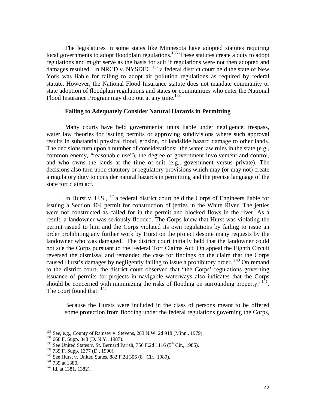The legislatures in some states like Minnesota have adopted statutes requiring local governments to adopt floodplain regulations.<sup>136</sup> These statutes create a duty to adopt regulations and might serve as the basis for suit if regulations were not then adopted and damages resulted. In NRCD v. NYSDEC  $^{137}$  a federal district court held the state of New York was liable for failing to adopt air pollution regulations as required by federal statute. However, the National Flood Insurance statute does not mandate community or state adoption of floodplain regulations and states or communities who enter the National Flood Insurance Program may drop out at any time.<sup>138</sup>

# **Failing to Adequately Consider Natural Hazards in Permitting**

 Many courts have held governmental units liable under negligence, trespass, water law theories for issuing permits or approving subdivisions where such approval results in substantial physical flood, erosion, or landslide hazard damage to other lands. The decisions turn upon a number of considerations: the water law rules in the state (e.g., common enemy, "reasonable use"), the degree of government involvement and control, and who owns the lands at the time of suit (e.g., government versus private). The decisions also turn upon statutory or regulatory provisions which may (or may not) create a regulatory duty to consider natural hazards in permitting and the precise language of the state tort claim act.

In Hurst v. U.S., <sup>139</sup>a federal district court held the Corps of Engineers liable for issuing a Section 404 permit for construction of jetties in the White River. The jetties were not constructed as called for in the permit and blocked flows in the river. As a result, a landowner was seriously flooded. The Corps knew that Hurst was violating the permit issued to him and the Corps violated its own regulations by failing to issue an order prohibiting any further work by Hurst on the project despite many requests by the landowner who was damaged. The district court initially held that the landowner could not sue the Corps pursuant to the Federal Tort Claims Act. On appeal the Eighth Circuit reversed the dismissal and remanded the case for findings on the claim that the Corps caused Hurst's damages by negligently failing to issue a prohibitory order. <sup>140</sup> On remand to the district court, the district court observed that "the Corps' regulations governing issuance of permits for projects in navigable waterways also indicates that the Corps should be concerned with minimizing the risks of flooding on surrounding property."<sup>141</sup>. The court found that:  $142$ 

Because the Hursts were included in the class of persons meant to be offered some protection from flooding under the federal regulations governing the Corps,

<sup>&</sup>lt;sup>136</sup> See, e.g., County of Ramsey v. Stevens, 283 N.W. 2d 918 (Minn., 1979).<br><sup>137</sup> 668 F. Supp. 848 (D. N.Y., 1987).<br><sup>138</sup> See United States v. St. Bernard Parish, 756 F.2d 1116 (5<sup>th</sup> Cir., 1985).

<sup>&</sup>lt;sup>139</sup> 739 F. Supp. 1377 (D., 1990).<br><sup>140</sup> See Hurst v. United States, 882 F.2d 306 (8<sup>th</sup> Cir., 1989).<br><sup>141</sup> 739 at 1380.<br><sup>142</sup> Id. at 1381, 1382).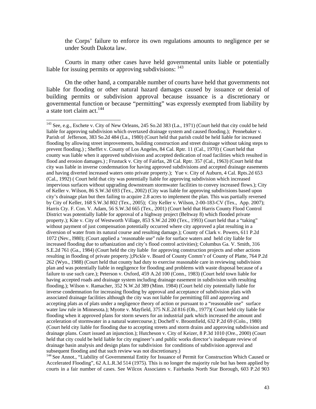the Corps' failure to enforce its own regulations amounts to negligence per se under South Dakota law.

 Courts in many other cases have held governmental units liable or potentially liable for issuing permits or approving subdivisions: <sup>143</sup>

 On the other hand, a comparable number of courts have held that governments not liable for flooding or other natural hazard damages caused by issuance or denial of building permits or subdivision approval because issuance is a discretionary or governmental function or because "permitting" was expressly exempted from liability by a state tort claim act.<sup>144</sup>

 $\overline{a}$ 

<sup>144</sup> See Annot., "Liability of Governmental Entity for Issuance of Permit for Construction Which Caused or Accelerated Flooding", 62 A.L.R.3d 514 (1975). This is no longer the majority rule but has been applied by courts in a fair number of cases. See Wilcox Associates v. Fairbanks North Star Borough, 603 P.2d 903

<sup>&</sup>lt;sup>143</sup> See, e.g., Eschete v. City of New Orleans, 245 So.2d 383 (La., 1971) (Court held that city could be held liable for approving subdivision which overtaxed drainage system and caused flooding.); Pennebaker v. Parish of Jefferson, 383 So.2d 484 (La., 1980) (Court held that parish could be held liable for increased flooding by allowing street improvements, building construction and street drainage without taking steps to prevent flooding.) ; Sheffet v. County of Los Angeles, 84 Cal. Rptr. 11 (Cal., 1970) ( Court held that county was liable when it approved subdivision and accepted dedication of road facilities which resulted in flood and erosion damages.) ; Frustuck v. City of Fairfax, 28 Cal. Rptr. 357 (Cal., 1963) (Court held that city was liable in inverse condemnation for having approved subdivisions and accepted drainage easements and having diverted increased waters onto private property.); Yue v. City of Auburn, 4 Cal. Rpts.2d 653 (Cal., 1992) ( Court held that city was potentially liable for approving subdivision which increased impervious surfaces without upgrading downstream stormwater facilities to convey increased flows.); City of Keller v. Wilson, 86 S.W.3d 693 (Tex., 2002) (City was liable for approving subdivisions based upon city's drainage plan but then failing to acquire 2.8 acres to implement the plan. This was partially reversed by City of Keller, 168 S.W.3d 802 (Tex., 2005); City Keller v. Wilson, 2-00-183-CV (Tex., App. 2007); Harris Cty. F. Con. V. Adam, 56 S.W.3d 665 (Tex., 2001) (Court held that Harris County Flood Control District was potentially liable for approval of a highway project (Beltway 8) which flooded private property.); Kite v. City of Westworth Village, 853 S.W.2d 200 (Tex., 1993) Court held that a "taking" without payment of just compensation potentially occurred where city approved a plat resulting in a diversion of water from its natural course and resulting damage.); County of Clark v. Powers, 611 P.2d 1072 (Nev., l980); (Court applied a 'reasonable use" rule for surface waters and held city liable for increased flooding due to urbanization and city's flood control activities); Columbus Ga. V. Smith, 316 S.E.2d 761 (Ga., 1984) (Court held the city liable for approving construction projects and other actions resulting in flooding of private property.);Pickle v. Board of County Comm'r of County of Platte, 764 P.2d 262 (Wyo., 1988) (Court held that county had duty to exercise reasonable care in reviewing subdivision plan and was potentially liable in negligence for flooding and problems with waste disposal because of a failure to use such care.); Peterson v. Oxford, 459 A.2d 100 (Conn., 1983) (Court held town liable for having accepted roads and drainage system including drainage easement in subdivision with resulting flooding.); Wilson v. Ramacher, 352 N.W.2d 389 (Minn. 1984) (Court held city potentially liable for inverse condemnation for increasing flooding by approval and acceptance of subdivision plats with associated drainage facilities although the city was not liable for permitting fill and approving and accepting plats as of plats under a negligence theory of action or pursuant to a "reasonable use" surface water law rule in Minnesota.); Myotte v. Mayfield, 375 N.E.2d 816 (Oh., 1977)( Court held city liable for flooding when it approved plans for storm sewers for an industrial park which increased the amount and acceleration of stormwater in a natural watercourse.); Docheff v. Broomfield, 632 P.2d 69 (Colo., 1980) (Court held city liable for flooding due to accepting streets and storm drains and approving subdivision and drainage plans. Court issued an injunction.); Hutcheson v. City of Keizer, 8 P.3d 1010 (Ore., 2000) (Court held that city could be held liable for city engineer's and public works director's inadequate review of drainage basin analysis and design plans for subdivision for conditions of subdivision approval and subsequent flooding and that such review was not discretionary.)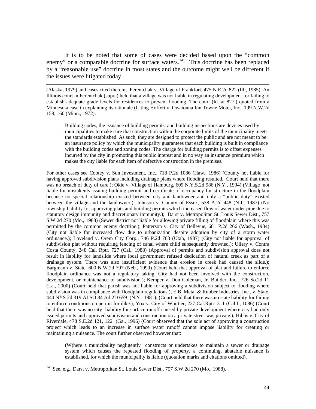It is to be noted that some of cases were decided based upon the "common enemy" or a comparable doctrine for surface waters.<sup>145</sup> This doctrine has been replaced by a "reasonable use" doctrine in most states and the outcome might well be different if the issues were litigated today.

 $\overline{a}$ 

(Alaska, 1979) and cases cited therein; Ferentchak v. Village of Frankfort, 475 N.E.2d 822 (Ill., 1985). An Illinois court in Ferentchak (supra) held that a village was not liable in regulating development for failing to establish adequate grade levels for residences to prevent flooding. The court (Id. at 827.) quoted from a Minnesota case in explaining its rationale (Citing Hoffert v. Owatonna Inn Towne Motel, Inc., 199 N.W.2d 158, 160 (Minn., 1972):

Building codes, the issuance of building permits, and building inspections are devices used by municipalities to make sure that construction within the corporate limits of the municipality meets the standards established. As such, they are designed to protect the public and are not meant to be an insurance policy by which the municipality guarantees that each building is built in compliance with the building codes and zoning codes. The charge for building permits is to offset expenses incurred by the city in promoting this public interest and in no way an insurance premium which makes the city liable for each item of defective construction in the premises.

For other cases see Cootey v. Sun Investment, Inc., 718 P.2d 1086 (Haw., 1986) (County not liable for having approved subdivision plans including drainage plans where flooding resulted. Court held that there was no breach of duty of care.); Okie v. Village of Hamburg, 609 N.Y.S.2d 986 (N.Y., 1994) (Village not liable for mistakenly issuing building permit and certificate of occupancy for structure in the floodplain because no special relationship existed between city and landowner and only a "public duty" existed between the village and the landowner.); Johnson v. County of Essex, 538 A.2d 448 (N.J., 1987) (No township liability for approving plats and building permits which increased flow of water under pipe due to statutory design immunity and discretionary immunity.); Darst v. Metropolitan St. Louis Sewer Dist., 757 S.W.2d 270 (Mo., 1988) (Sewer district not liable for allowing private filling of floodplain where this was permitted by the common enemy doctrine.); Patterson v. City of Bellevue, 681 P.2d 266 (Wash., 1984) (City not liable for increased flow due to urbanization despite adoption by city of a storm water ordinance.); Loveland v. Orem City Corp., 746 P.2d 763 (Utah, 1987) (City not liable for approval of subdivision plat without requiring fencing of canal where child subsequently drowned.); Ullery v. Contra Costa County, 248 Cal. Rptr. 727 (Cal., 1988) (Approval of permits and subdivision approval does not result in liability for landslide where local government refused dedication of natural creek as part of a drainage system. There was also insufficient evidence that erosion in creek had caused the slide.); Bargmann v. State, 600 N.W.2d 797 (Neb., 1999) (Court held that approval of plat and failure to enforce floodplain ordinance was not a regulatory taking. City had not been involved with the construction, development, or maintenance of subdivision.); Kemper v. Don Coleman, Jr. Builder, Inc., 726 So.2d 11 (La., 2000) (Court held that parish was not liable for approving a subdivision subject to flooding where subdivision was in compliance with floodplain regulations.); E.B. Metal & Rubber Industries, Inc., v. State, 444 NYS 2d 319 ALSO 84 Ad 2D 659 (N.Y., 1981); (Court held that there was no state liability for failing to enforce conditions on permit for dike.); Yox v. City of Whittier, 227 Cal.Rptr. 311 (Calif., 1086) (Court held that there was no city liability for surface runoff caused by private development where city had only issued permits and approved subdivision and construction on a private street was private.); Hibbs v. City of Riverdale, 478 S.E.2d 121, 122 (Ga., 1996) (Court observed that the sole act of approving a construction project which leads to an increase in surface water runoff cannot impose liability for creating or maintaining a nuisance. The court further observed however that:

(W)here a municipality negligently constructs or undertakes to maintain a sewer or drainage system which causes the repeated flooding of property, a continuing, abatable nuisance is established, for which the municipality is liable (quotation marks and citations omitted).

<sup>145</sup> See, e.g., Darst v. Metropolitan St. Louis Sewer Dist., 757 S.W.2d 270 (Mo., 1988).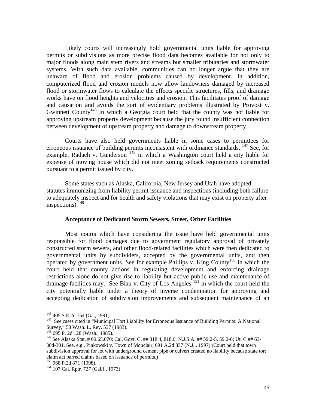Likely courts will increasingly hold governmental units liable for approving permits or subdivisions as more precise flood data becomes available for not only to major floods along main stem rivers and streams but smaller tributaries and stormwater systems. With such data available, communities can no longer argue that they are unaware of flood and erosion problems caused by development. In addition, computerized flood and erosion models now allow landowners damaged by increased flood or stormwater flows to calculate the effects specific structures, fills, and drainage works have on flood heights and velocities and erosion. This facilitates proof of damage and causation and avoids the sort of evidentiary problems illustrated by Provost v. Gwinnett County146 in which a Georgia court held that the county was not liable for approving upstream property development because the jury found insufficient connection between development of upstream property and damage to downstream property.

 Courts have also held governments liable in some cases to permittees for erroneous issuance of building permits inconsistent with ordinance standards. <sup>147</sup> See, for example, Radach v. Gunderson  $148$  in which a Washington court held a city liable for expense of moving house which did not meet zoning setback requirements constructed pursuant to a permit issued by city.

Some states such as Alaska, California, New Jersey and Utah have adopted statutes immunizing from liability permit issuance and inspections (including both failure to adequately inspect and for health and safety violations that may exist on property after inspections).149

## **Acceptance of Dedicated Storm Sewers, Street, Other Facilities**

 Most courts which have considering the issue have held governmental units responsible for flood damages due to government regulatory approval of privately constructed storm sewers, and other flood-related facilities which were then dedicated to governmental units by subdividers, accepted by the governmental units, and then operated by government units. See for example Phillips v. King County<sup>150</sup> in which the court held that county actions in regulating development and enforcing drainage restrictions alone do not give rise to liability but active public use and maintenance of drainage facilities may. See Blau v. City of Los Angeles<sup>151</sup> in which the court held the city potentially liable under a theory of inverse condemnation for approving and accepting dedication of subdivision improvements and subsequent maintenance of an

<sup>&</sup>lt;sup>146</sup> 405 S.E.2d 754 (Ga., 1991).<br><sup>147</sup> See cases cited in "Municipal Tort Liability for Erroneous Issuance of Building Permits: A National Survey," 58 Wash. L. Rev. 537 (1983).

<sup>148 695</sup> P. 2d 128 (Wash., 1985).

<sup>149</sup> See Alaska Stat. # 09.65.070; Cal. Govt. C. ## 818.4, 818.6; N.J.S.A. ## 59:2-5, 59.2-6; Ut. C ## 63- 30d-301. See, e.g., Pinkowski v. Town of Monclair, 691 A.2d 837 (N.J.., 1997) (Court held that town subdivision approval for lot with underground cement pipe or culvert created no liability because state tort claim act barred claims based on issuance of permits.)<br><sup>150</sup> 968 P.2d 871 (1998).<br><sup>151</sup> 107 Cal. Rptr. 727 (Calif., 1973)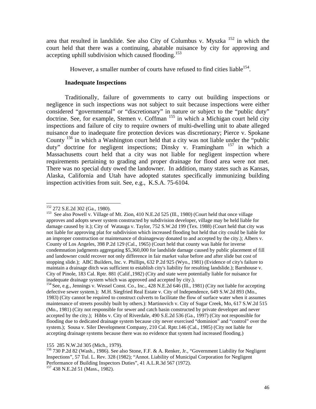area that resulted in landslide. See also City of Columbus v. Myszka 152 in which the court held that there was a continuing, abatable nuisance by city for approving and accepting uphill subdivision which caused flooding.<sup>153</sup>

However, a smaller number of courts have refused to find cities liable  $154$ .

# **Inadequate Inspections**

 Traditionally, failure of governments to carry out building inspections or negligence in such inspections was not subject to suit because inspections were either considered "governmental" or "discretionary" in nature or subject to the "public duty" doctrine. See, for example, Stemen v. Coffman <sup>155</sup> in which a Michigan court held city inspections and failure of city to require owners of multi-dwelling unit to abate alleged nuisance due to inadequate fire protection devices was discretionary; Pierce v. Spokane County  $^{156}$  in which a Washington court held that a city was not liable under the "public" duty" doctrine for negligent inspections; Dinsky v. Framingham <sup>157</sup> in which a Massachusetts court held that a city was not liable for negligent inspection where requirements pertaining to grading and proper drainage for flood area were not met. There was no special duty owed the landowner. In addition, many states such as Kansas, Alaska, California and Utah have adopted statutes specifically immunizing building inspection activities from suit. See, e.g., K.S.A. 75-6104.

<sup>&</sup>lt;sup>152</sup> 272 S.E.2d 302 (Ga., 1980).

<sup>&</sup>lt;sup>153</sup> See also Powell v. Village of Mt. Zion, 410 N.E.2d 525 (Ill., 1980) (Court held that once village approves and adopts sewer system constructed by subdivision developer, village may be held liable for damage caused by it.); City of Watauga v. Taylor, 752 S.W.2d 199 (Tex. 1988) (Court held that city was not liable for approving plat for subdivision which increased flooding but held that city could be liable for an improper construction or maintenance of drainageway donated to and accepted by the city.); Albers v. County of Los Angeles, 398 P.2d 129 (Cal., 1965) (Court held that county was liable for inverse condemnation judgments aggregating \$5,360,000 for landslide damage caused by public placement of fill and landowner could recover not only difference in fair market value before and after slide but cost of stopping slide.); ABC Builders, Inc. v. Phillips, 632 P.2d 925 (Wyo., 1981) (Evidence of city's failure to maintain a drainage ditch was sufficient to establish city's liability for resulting landslide.); Barnhouse v. City of Pinole, 183 Cal. Rptr. 881 (Calif.,1982) (City and state were potentially liable for nuisance for inadequate drainage system which was approved and accepted by city.).<br>
<sup>154</sup> See, e.g., Jennings v. Wessel Const. Co., Inc., 428 N.E.2d 646 (Ill., 1981) (City not liable for accepting

defective sewer system.); M.H. Siegfried Real Estate v. City of Independence, 649 S.W.2d 893 (Mo., 1983) (City cannot be required to construct culverts to facilitate the flow of surface water when it assumes maintenance of streets possibly built by others.): Martinovich v. City of Sugar Creek, Mo, 617 S.W.2d 515 (Mo., 1981) (City not responsible for sewer and catch basin constructed by private developer and never accepted by the city.); Hibbs v. City of Riverdale, 490 S.E.2d 536 (Ga., 1997) (City not responsible for flooding due to dedicated drainage system because city never exercised "dominion" and "control" over the system.); Sousa v. Siler Development Company, 210 Cal. Rptr.146 (Cal., 1985) (City not liable for accepting drainage systems because there was no evidence that system had increased flooding.)

<sup>155 285</sup> N.W.2d 305 (Mich., 1979).

<sup>156 730</sup> P.2d 82 (Wash., 1986). See also Stone, F.F. & A. Renker, Jr., "Government Liability for Negligent Inspections", 57 Tul. L. Rev. 328 (1982); "Annot. Liability of Municipal Corporation for Negligent Performance of Building Inspectors Duties", 41 A.L.R.3d 567 (1972). 157 438 N.E.2d 51 (Mass., 1982).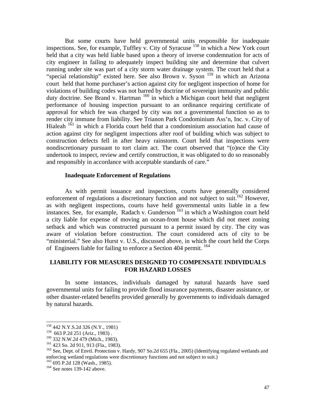But some courts have held governmental units responsible for inadequate inspections. See, for example, Tuffley v. City of Syracuse 158 in which a New York court held that a city was held liable based upon a theory of inverse condemnation for acts of city engineer in failing to adequately inspect building site and determine that culvert running under site was part of a city storm water drainage system. The court held that a "special relationship" existed here. See also Brown v. Syson <sup>159</sup> in which an Arizona court held that home purchaser's action against city for negligent inspection of home for violations of building codes was not barred by doctrine of sovereign immunity and public duty doctrine. See Brand v. Hartman <sup>160</sup> in which a Michigan court held that negligent performance of housing inspection pursuant to an ordinance requiring certificate of approval for which fee was charged by city was not a governmental function so as to render city immune from liability. See Trianon Park Condominium Ass'n, Inc. v. City of Hialeah  $161$  in which a Florida court held that a condominium association had cause of action against city for negligent inspections after roof of building which was subject to construction defects fell in after heavy rainstorm. Court held that inspections were nondiscretionary pursuant to tort claim act. The court observed that "(o)nce the City undertook to inspect, review and certify construction, it was obligated to do so reasonably and responsibly in accordance with acceptable standards of care."

## **Inadequate Enforcement of Regulations**

 As with permit issuance and inspections, courts have generally considered enforcement of regulations a discretionary function and not subject to suit.<sup>162</sup> However, as with negligent inspections, courts have held governmental units liable in a few instances. See, for example, Radach v. Gunderson<sup>163</sup> in which a Washington court held a city liable for expense of moving an ocean-front house which did not meet zoning setback and which was constructed pursuant to a permit issued by city. The city was aware of violation before construction. The court considered acts of city to be "ministerial." See also Hurst v. U.S., discussed above, in which the court held the Corps of Engineers liable for failing to enforce a Section 404 permit. 164

# **LIABILITY FOR MEASURES DESIGNED TO COMPENSATE INDIVIDUALS FOR HAZARD LOSSES**

 In some instances, individuals damaged by natural hazards have sued governmental units for failing to provide flood insurance payments, disaster assistance, or other disaster-related benefits provided generally by governments to individuals damaged by natural hazards.

 $\overline{a}$ 

 $^{163}_{163}$  695 P.2d 128 (Wash., 1985).<br><sup>164</sup> See notes 139-142 above.

<sup>158 442</sup> N.Y.S.2d 326 (N.Y., 1981)

<sup>159 663</sup> P.2d 251 (Ariz., 1983) .<br>
160 332 N.W.2d 479 (Mich., 1983).<br>
161 423 So. 2d 911, 913 (Fla., 1983).<br>
162 See, Dept. of Envtl. Protection v. Hardy, 907 So.2d 655 (Fla., 2005) (Identifying regulated wetlands and enforcing wetland regulations were discretionary functions and not subject to suit.)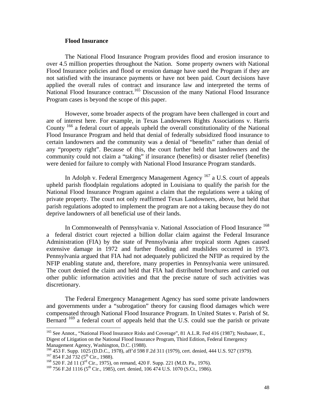## **Flood Insurance**

 The National Flood Insurance Program provides flood and erosion insurance to over 4.5 million properties throughout the Nation. Some property owners with National Flood Insurance policies and flood or erosion damage have sued the Program if they are not satisfied with the insurance payments or have not been paid. Court decisions have applied the overall rules of contract and insurance law and interpreted the terms of National Flood Insurance contract.<sup>165</sup> Discussion of the many National Flood Insurance Program cases is beyond the scope of this paper.

 However, some broader aspects of the program have been challenged in court and are of interest here. For example, in Texas Landowners Rights Associations v. Harris County<sup>166</sup> a federal court of appeals upheld the overall constitutionality of the National Flood Insurance Program and held that denial of federally subsidized flood insurance to certain landowners and the community was a denial of "benefits" rather than denial of any "property right". Because of this, the court further held that landowners and the community could not claim a "taking" if insurance (benefits) or disaster relief (benefits) were denied for failure to comply with National Flood Insurance Program standards.

In Adolph v. Federal Emergency Management Agency <sup>167</sup> a U.S. court of appeals upheld parish floodplain regulations adopted in Louisiana to qualify the parish for the National Flood Insurance Program against a claim that the regulations were a taking of private property. The court not only reaffirmed Texas Landowners, above, but held that parish regulations adopted to implement the program are not a taking because they do not deprive landowners of all beneficial use of their lands.

In Commonwealth of Pennsylvania v. National Association of Flood Insurance <sup>168</sup> a federal district court rejected a billion dollar claim against the Federal Insurance Administration (FIA) by the state of Pennsylvania after tropical storm Agnes caused extensive damage in 1972 and further flooding and mudslides occurred in 1973. Pennsylvania argued that FIA had not adequately publicized the NFIP as required by the NFIP enabling statute and, therefore, many properties in Pennsylvania were uninsured. The court denied the claim and held that FIA had distributed brochures and carried out other public information activities and that the precise nature of such activities was discretionary.

 The Federal Emergency Management Agency has sued some private landowners and governments under a "subrogation" theory for causing flood damages which were compensated through National Flood Insurance Program. In United States v. Parish of St. Bernard <sup>169</sup> a federal court of appeals held that the U.S. could sue the parish or private

<sup>&</sup>lt;sup>165</sup> See Annot., "National Flood Insurance Risks and Coverage", 81 A.L.R. Fed 416 (1987); Neubauer, E., Digest of Litigation on the National Flood Insurance Program, Third Edition, Federal Emergency

Management Agency, Washington, D.C. (1988).<br><sup>166</sup> 453 F. Supp. 1025 (D.D.C., 1978), aff'd 598 F.2d 311 (1979), cert. denied, 444 U.S. 927 (1979). 167 854 F. 2d 732 (5<sup>th</sup> Cir., 1988).<br><sup>168</sup> 520 F. 2d 11 (3<sup>rd</sup> Cir., 1975), on remand, 420 F. Supp. 221 (M.D. Pa., 1976).

 $169$  756 F.2d 1116 (5<sup>th</sup> Cir., 1985), cert. denied, 106 474 U.S. 1070 (S.Ct., 1986).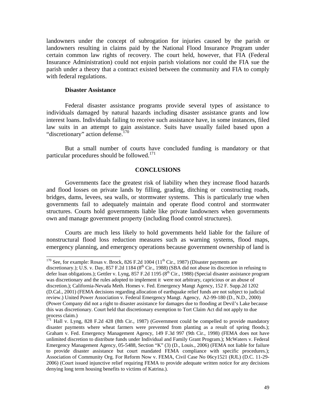landowners under the concept of subrogation for injuries caused by the parish or landowners resulting in claims paid by the National Flood Insurance Program under certain common law rights of recovery. The court held, however, that FIA (Federal Insurance Administration) could not enjoin parish violations nor could the FIA sue the parish under a theory that a contract existed between the community and FIA to comply with federal regulations.

## **Disaster Assistance**

 $\overline{a}$ 

 Federal disaster assistance programs provide several types of assistance to individuals damaged by natural hazards including disaster assistance grants and low interest loans. Individuals failing to receive such assistance have, in some instances, filed law suits in an attempt to gain assistance. Suits have usually failed based upon a "discretionary" action defense.<sup>170</sup>

 But a small number of courts have concluded funding is mandatory or that particular procedures should be followed.<sup>171</sup>

## **CONCLUSIONS**

Governments face the greatest risk of liability when they increase flood hazards and flood losses on private lands by filling, grading, ditching or constructing roads, bridges, dams, levees, sea walls, or stormwater systems. This is particularly true when governments fail to adequately maintain and operate flood control and stormwater structures. Courts hold governments liable like private landowners when governments own and manage government property (including flood control structures).

Courts are much less likely to hold governments held liable for the failure of nonstructural flood loss reduction measures such as warning systems, flood maps, emergency planning, and emergency operations because government ownership of land is

<sup>&</sup>lt;sup>170</sup> See, for example: Rosas v. Brock, 826 F.2d 1004 ( $11<sup>th</sup> Cir.$ , 1987) (Disaster payments are

discretionary.); U.S. v. Day, 857 F.2d 1184 ( $8<sup>th</sup>$  Cir., 1988) (SBA did not abuse its discretion in refusing to defer loan obligations.); Gettler v. Lyng, 857 F.2d 1195 ( $8<sup>th</sup>$  Cir., 1988) (Special disaster assistance program was discretionary and the rules adopted to implement it were not arbitrary, capricious or an abuse of discretion.); California-Nevada Meth. Homes v. Fed. Emergency Mangt Agency, 152 F. Supp.2d 1202 (D.Cal., 2001) (FEMA decisions regarding allocation of earthquake relief funds are not subject to judicial review.) United Power Association v. Federal Emergency Mangt. Agency, A2-99-180 (D., N.D., 2000) (Power Company did not a right to disaster assistance for damages due to flooding at Devil's Lake because this was discretionary. Court held that discretionary exemption to Tort Claim Act did not apply to due process claim.)

 $171$  Hall v. Lyng, 828 F.2d 428 (8th Cir., 1987) (Government could be compelled to provide mandatory disaster payments where wheat farmers were prevented from planting as a result of spring floods.); Graham v. Fed. Emergency Management Agency, 149 F.3d 997 (9th Cir., 1998) (FEMA does not have unlimited discretion to distribute funds under Individual and Family Grant Program.); McWaters v. Federal Emergency Management Agency, 05-5488, Section "K" (3) (D., Louis., 2006) (FEMA not liable for failure to provide disaster assistance but court mandated FEMA compliance with specific procedures.); Association of Community Org. For Reform Now v. FEMA, Civil Case No 06cy1521 (RJL) (D.C. 11-29- 2006) (Court issued injunctive relief requiring FEMA to provide adequate written notice for any decisions denying long term housing benefits to victims of Katrina.).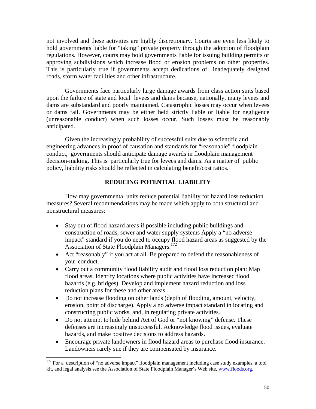not involved and these activities are highly discretionary. Courts are even less likely to hold governments liable for "taking" private property through the adoption of floodplain regulations. However, courts may hold governments liable for issuing building permits or approving subdivisions which increase flood or erosion problems on other properties. This is particularly true if governments accept dedications of inadequately designed roads, storm water facilities and other infrastructure.

Governments face particularly large damage awards from class action suits based upon the failure of state and local levees and dams because, nationally, many levees and dams are substandard and poorly maintained. Catastrophic losses may occur when levees or dams fail. Governments may be either held strictly liable or liable for negligence (unreasonable conduct) when such losses occur. Such losses must be reasonably anticipated.

Given the increasingly probability of successful suits due to scientific and engineering advances in proof of causation and standards for "reasonable" floodplain conduct, governments should anticipate damage awards in floodplain management decision-making. This is particularly true for levees and dams. As a matter of public policy, liability risks should be reflected in calculating benefit/cost ratios.

# **REDUCING POTENTIAL LIABILITY**

How may governmental units reduce potential liability for hazard loss reduction measures? Several recommendations may be made which apply to both structural and nonstructural measures:

- Stay out of flood hazard areas if possible including public buildings and construction of roads, sewer and water supply systems Apply a "no adverse impact" standard if you do need to occupy flood hazard areas as suggested by the Association of State Floodplain Managers.<sup>172</sup>
- Act "reasonably" if you act at all. Be prepared to defend the reasonableness of your conduct.
- Carry out a community flood liability audit and flood loss reduction plan: Map flood areas. Identify locations where public activities have increased flood hazards (e.g. bridges). Develop and implement hazard reduction and loss reduction plans for these and other areas.
- Do not increase flooding on other lands (depth of flooding, amount, velocity, erosion, point of discharge). Apply a no adverse impact standard in locating and constructing public works, and, in regulating private activities.
- Do not attempt to hide behind Act of God or "not knowing" defense. These defenses are increasingly unsuccessful. Acknowledge flood issues, evaluate hazards, and make positive decisions to address hazards.
- Encourage private landowners in flood hazard areas to purchase flood insurance. Landowners rarely sue if they are compensated by insurance.

 $172$  For a description of "no adverse impact" floodplain management including case study examples, a tool kit, and legal analysis see the Association of State Floodplain Manager's Web site, www.floods.org.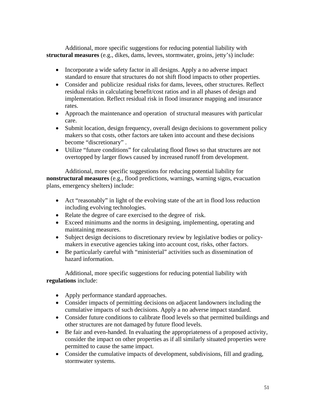Additional, more specific suggestions for reducing potential liability with **structural measures** (e.g., dikes, dams, levees, stormwater, groins, jetty's) include:

- Incorporate a wide safety factor in all designs. Apply a no adverse impact standard to ensure that structures do not shift flood impacts to other properties.
- Consider and publicize residual risks for dams, levees, other structures. Reflect residual risks in calculating benefit/cost ratios and in all phases of design and implementation. Reflect residual risk in flood insurance mapping and insurance rates.
- Approach the maintenance and operation of structural measures with particular care.
- Submit location, design frequency, overall design decisions to government policy makers so that costs, other factors are taken into account and these decisions become "discretionary" .
- Utilize "future conditions" for calculating flood flows so that structures are not overtopped by larger flows caused by increased runoff from development.

Additional, more specific suggestions for reducing potential liability for **nonstructural measures** (e.g., flood predictions, warnings, warning signs, evacuation plans, emergency shelters) include:

- Act "reasonably" in light of the evolving state of the art in flood loss reduction including evolving technologies.
- Relate the degree of care exercised to the degree of risk.
- Exceed minimums and the norms in designing, implementing, operating and maintaining measures.
- Subject design decisions to discretionary review by legislative bodies or policymakers in executive agencies taking into account cost, risks, other factors.
- Be particularly careful with "ministerial" activities such as dissemination of hazard information.

Additional, more specific suggestions for reducing potential liability with **regulations** include:

- Apply performance standard approaches.
- Consider impacts of permitting decisions on adjacent landowners including the cumulative impacts of such decisions. Apply a no adverse impact standard.
- Consider future conditions to calibrate flood levels so that permitted buildings and other structures are not damaged by future flood levels.
- Be fair and even-handed. In evaluating the appropriateness of a proposed activity, consider the impact on other properties as if all similarly situated properties were permitted to cause the same impact.
- Consider the cumulative impacts of development, subdivisions, fill and grading, stormwater systems.